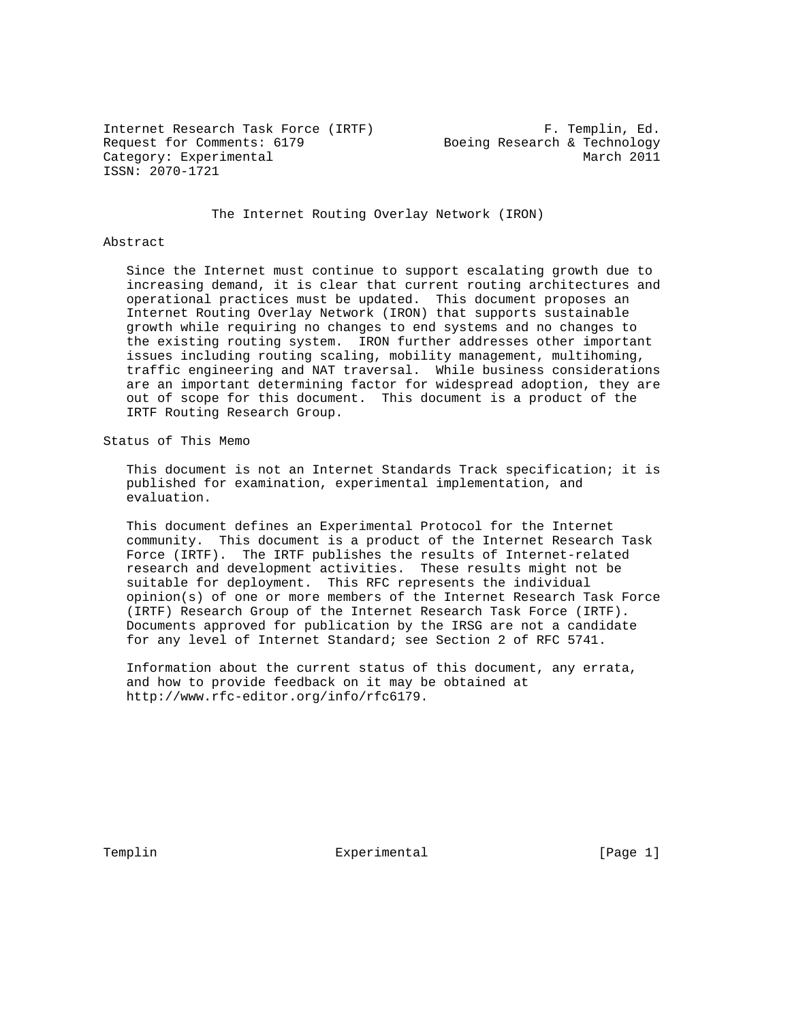Internet Research Task Force (IRTF) F. Templin, Ed. Request for Comments: 6179 (Enterpret and Deling Research & Technology Category: Experimental March 2011 ISSN: 2070-1721

The Internet Routing Overlay Network (IRON)

#### Abstract

 Since the Internet must continue to support escalating growth due to increasing demand, it is clear that current routing architectures and operational practices must be updated. This document proposes an Internet Routing Overlay Network (IRON) that supports sustainable growth while requiring no changes to end systems and no changes to the existing routing system. IRON further addresses other important issues including routing scaling, mobility management, multihoming, traffic engineering and NAT traversal. While business considerations are an important determining factor for widespread adoption, they are out of scope for this document. This document is a product of the IRTF Routing Research Group.

Status of This Memo

 This document is not an Internet Standards Track specification; it is published for examination, experimental implementation, and evaluation.

 This document defines an Experimental Protocol for the Internet community. This document is a product of the Internet Research Task Force (IRTF). The IRTF publishes the results of Internet-related research and development activities. These results might not be suitable for deployment. This RFC represents the individual opinion(s) of one or more members of the Internet Research Task Force (IRTF) Research Group of the Internet Research Task Force (IRTF). Documents approved for publication by the IRSG are not a candidate for any level of Internet Standard; see Section 2 of RFC 5741.

 Information about the current status of this document, any errata, and how to provide feedback on it may be obtained at http://www.rfc-editor.org/info/rfc6179.

Templin **Experimental** Experimental [Page 1]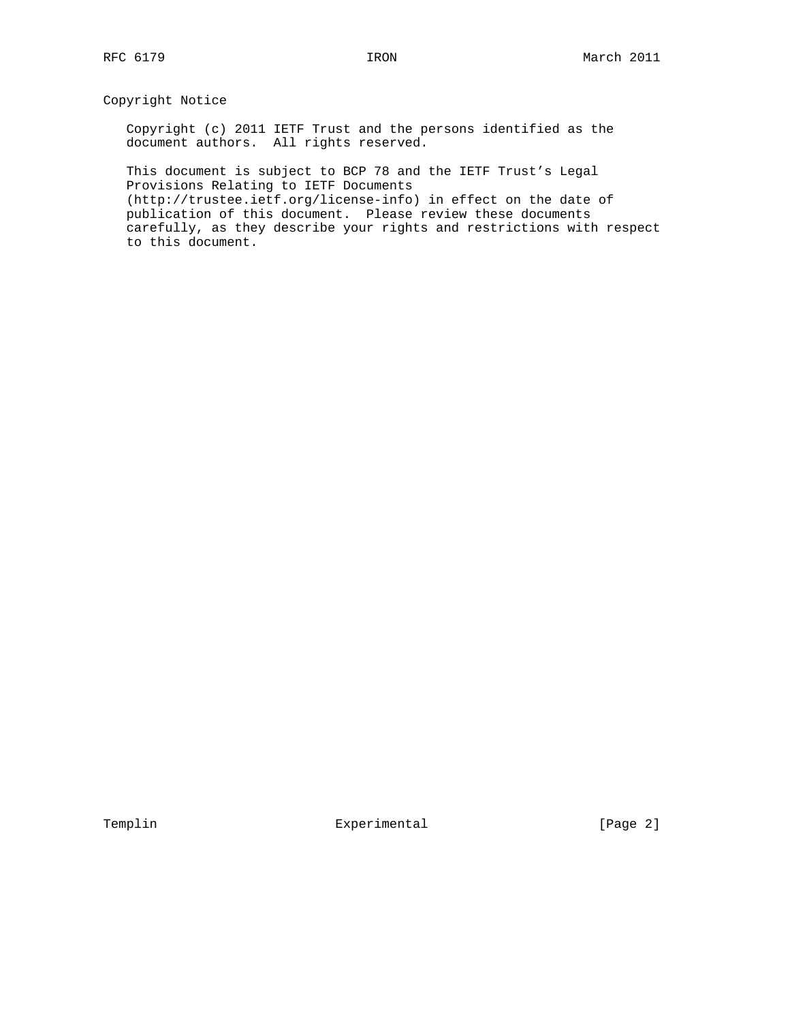## Copyright Notice

 Copyright (c) 2011 IETF Trust and the persons identified as the document authors. All rights reserved.

 This document is subject to BCP 78 and the IETF Trust's Legal Provisions Relating to IETF Documents (http://trustee.ietf.org/license-info) in effect on the date of publication of this document. Please review these documents carefully, as they describe your rights and restrictions with respect to this document.

Templin  $\Box$  Experimental [Page 2]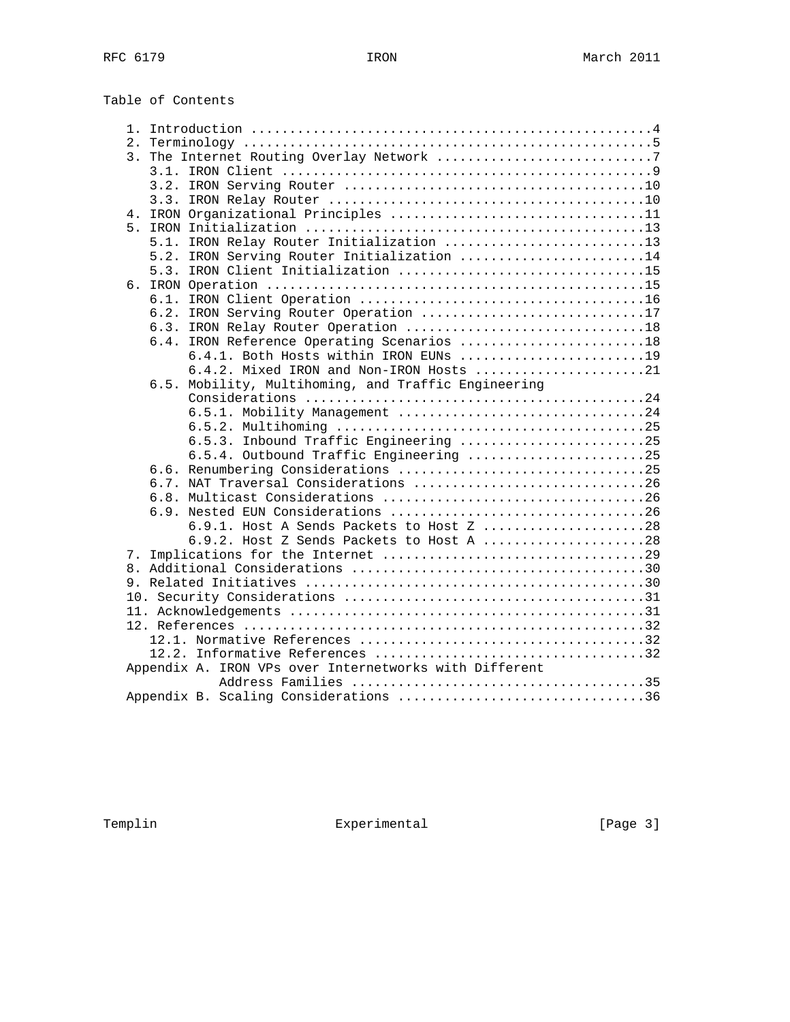| Table of Contents |  |
|-------------------|--|
|-------------------|--|

| $\mathfrak{1}$ . |                                                        |
|------------------|--------------------------------------------------------|
|                  |                                                        |
|                  | 3. The Internet Routing Overlay Network 7              |
|                  |                                                        |
|                  |                                                        |
|                  |                                                        |
|                  |                                                        |
| 4.               | IRON Organizational Principles 11                      |
| 5.               |                                                        |
|                  | 5.1. IRON Relay Router Initialization 13               |
|                  | 5.2. IRON Serving Router Initialization 14             |
|                  | IRON Client Initialization 15<br>5.3.                  |
|                  |                                                        |
|                  |                                                        |
|                  | 6.2. IRON Serving Router Operation 17                  |
|                  | 6.3. IRON Relay Router Operation 18                    |
|                  |                                                        |
|                  | 6.4. IRON Reference Operating Scenarios 18             |
|                  | 6.4.1. Both Hosts within IRON EUNs 19                  |
|                  | 6.4.2. Mixed IRON and Non-IRON Hosts 21                |
|                  | 6.5. Mobility, Multihoming, and Traffic Engineering    |
|                  |                                                        |
|                  | 6.5.1. Mobility Management 24                          |
|                  |                                                        |
|                  | 6.5.3. Inbound Traffic Engineering 25                  |
|                  | 6.5.4. Outbound Traffic Engineering 25                 |
|                  |                                                        |
|                  | 6.7. NAT Traversal Considerations 26                   |
|                  |                                                        |
|                  |                                                        |
|                  |                                                        |
|                  | 6.9.1. Host A Sends Packets to Host Z 28               |
|                  | 6.9.2. Host Z Sends Packets to Host A 28               |
|                  |                                                        |
|                  |                                                        |
|                  |                                                        |
|                  |                                                        |
|                  |                                                        |
|                  |                                                        |
|                  |                                                        |
|                  |                                                        |
|                  | Appendix A. IRON VPs over Internetworks with Different |
|                  |                                                        |
|                  |                                                        |
|                  | Appendix B. Scaling Considerations 36                  |

Templin Experimental Experimental [Page 3]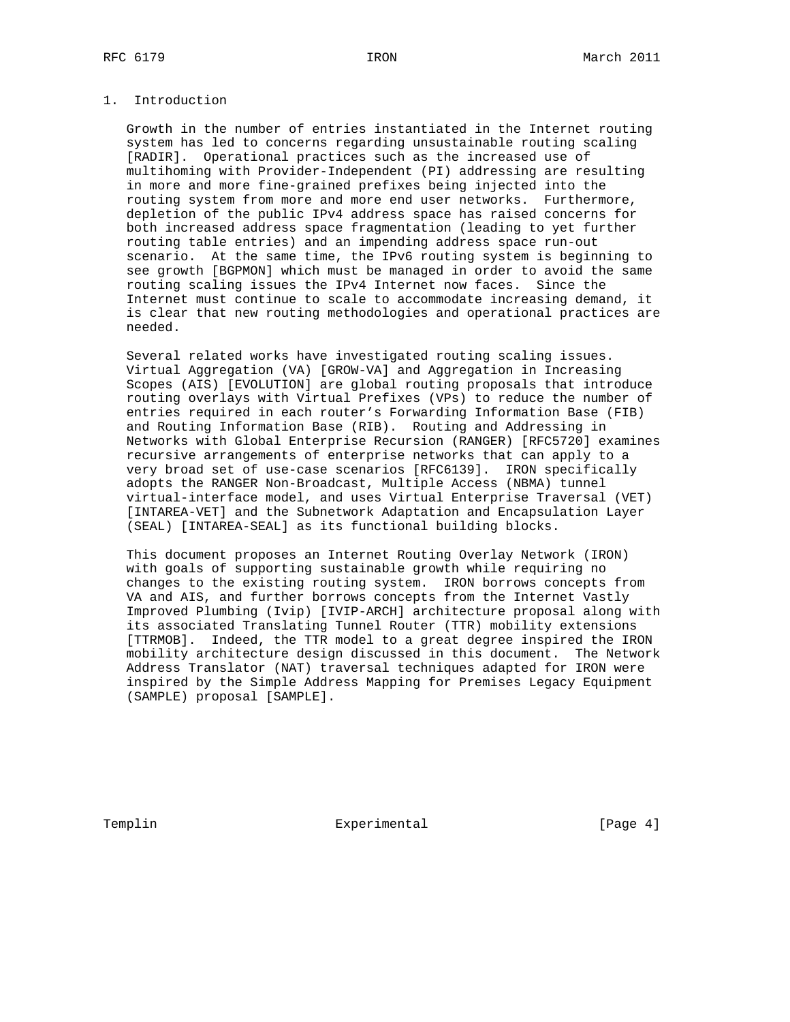#### 1. Introduction

 Growth in the number of entries instantiated in the Internet routing system has led to concerns regarding unsustainable routing scaling [RADIR]. Operational practices such as the increased use of multihoming with Provider-Independent (PI) addressing are resulting in more and more fine-grained prefixes being injected into the routing system from more and more end user networks. Furthermore, depletion of the public IPv4 address space has raised concerns for both increased address space fragmentation (leading to yet further routing table entries) and an impending address space run-out scenario. At the same time, the IPv6 routing system is beginning to see growth [BGPMON] which must be managed in order to avoid the same routing scaling issues the IPv4 Internet now faces. Since the Internet must continue to scale to accommodate increasing demand, it is clear that new routing methodologies and operational practices are needed.

 Several related works have investigated routing scaling issues. Virtual Aggregation (VA) [GROW-VA] and Aggregation in Increasing Scopes (AIS) [EVOLUTION] are global routing proposals that introduce routing overlays with Virtual Prefixes (VPs) to reduce the number of entries required in each router's Forwarding Information Base (FIB) and Routing Information Base (RIB). Routing and Addressing in Networks with Global Enterprise Recursion (RANGER) [RFC5720] examines recursive arrangements of enterprise networks that can apply to a very broad set of use-case scenarios [RFC6139]. IRON specifically adopts the RANGER Non-Broadcast, Multiple Access (NBMA) tunnel virtual-interface model, and uses Virtual Enterprise Traversal (VET) [INTAREA-VET] and the Subnetwork Adaptation and Encapsulation Layer (SEAL) [INTAREA-SEAL] as its functional building blocks.

 This document proposes an Internet Routing Overlay Network (IRON) with goals of supporting sustainable growth while requiring no changes to the existing routing system. IRON borrows concepts from VA and AIS, and further borrows concepts from the Internet Vastly Improved Plumbing (Ivip) [IVIP-ARCH] architecture proposal along with its associated Translating Tunnel Router (TTR) mobility extensions [TTRMOB]. Indeed, the TTR model to a great degree inspired the IRON mobility architecture design discussed in this document. The Network Address Translator (NAT) traversal techniques adapted for IRON were inspired by the Simple Address Mapping for Premises Legacy Equipment (SAMPLE) proposal [SAMPLE].

Templin **Experimental** Experimental [Page 4]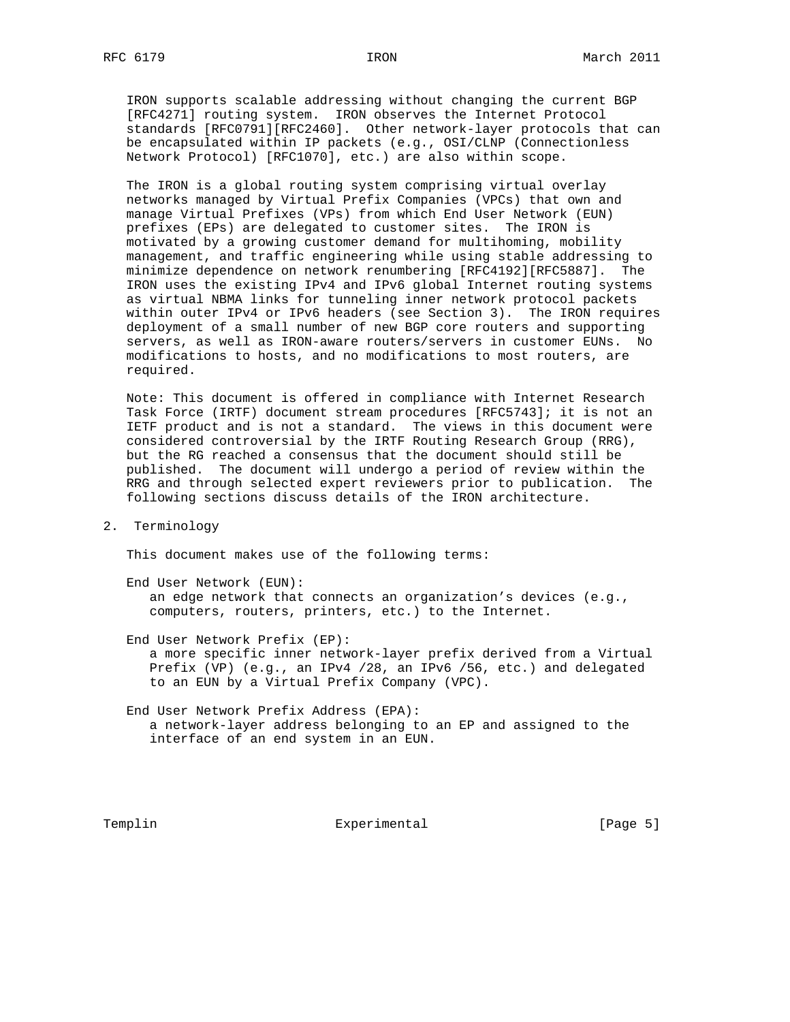IRON supports scalable addressing without changing the current BGP [RFC4271] routing system. IRON observes the Internet Protocol standards [RFC0791][RFC2460]. Other network-layer protocols that can be encapsulated within IP packets (e.g., OSI/CLNP (Connectionless Network Protocol) [RFC1070], etc.) are also within scope.

 The IRON is a global routing system comprising virtual overlay networks managed by Virtual Prefix Companies (VPCs) that own and manage Virtual Prefixes (VPs) from which End User Network (EUN) prefixes (EPs) are delegated to customer sites. The IRON is motivated by a growing customer demand for multihoming, mobility management, and traffic engineering while using stable addressing to minimize dependence on network renumbering [RFC4192][RFC5887]. The IRON uses the existing IPv4 and IPv6 global Internet routing systems as virtual NBMA links for tunneling inner network protocol packets within outer IPv4 or IPv6 headers (see Section 3). The IRON requires deployment of a small number of new BGP core routers and supporting servers, as well as IRON-aware routers/servers in customer EUNs. No modifications to hosts, and no modifications to most routers, are required.

 Note: This document is offered in compliance with Internet Research Task Force (IRTF) document stream procedures [RFC5743]; it is not an IETF product and is not a standard. The views in this document were considered controversial by the IRTF Routing Research Group (RRG), but the RG reached a consensus that the document should still be published. The document will undergo a period of review within the RRG and through selected expert reviewers prior to publication. The following sections discuss details of the IRON architecture.

2. Terminology

This document makes use of the following terms:

 End User Network (EUN): an edge network that connects an organization's devices (e.g., computers, routers, printers, etc.) to the Internet.

 End User Network Prefix (EP): a more specific inner network-layer prefix derived from a Virtual Prefix (VP) (e.g., an IPv4 /28, an IPv6 /56, etc.) and delegated to an EUN by a Virtual Prefix Company (VPC).

 End User Network Prefix Address (EPA): a network-layer address belonging to an EP and assigned to the interface of an end system in an EUN.

Templin Experimental Experimental [Page 5]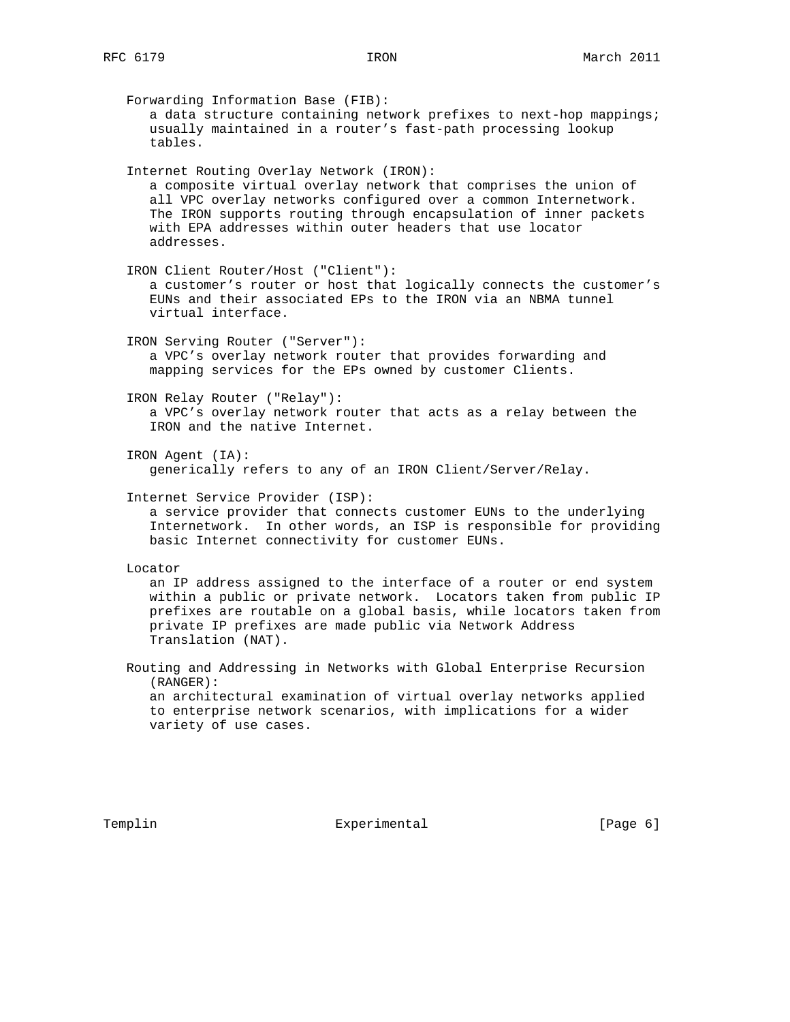Forwarding Information Base (FIB): a data structure containing network prefixes to next-hop mappings; usually maintained in a router's fast-path processing lookup tables. Internet Routing Overlay Network (IRON): a composite virtual overlay network that comprises the union of all VPC overlay networks configured over a common Internetwork. The IRON supports routing through encapsulation of inner packets with EPA addresses within outer headers that use locator addresses. IRON Client Router/Host ("Client"): a customer's router or host that logically connects the customer's EUNs and their associated EPs to the IRON via an NBMA tunnel virtual interface. IRON Serving Router ("Server"): a VPC's overlay network router that provides forwarding and mapping services for the EPs owned by customer Clients. IRON Relay Router ("Relay"): a VPC's overlay network router that acts as a relay between the IRON and the native Internet. IRON Agent (IA): generically refers to any of an IRON Client/Server/Relay. Internet Service Provider (ISP): a service provider that connects customer EUNs to the underlying Internetwork. In other words, an ISP is responsible for providing basic Internet connectivity for customer EUNs. Locator an IP address assigned to the interface of a router or end system within a public or private network. Locators taken from public IP prefixes are routable on a global basis, while locators taken from private IP prefixes are made public via Network Address Translation (NAT). Routing and Addressing in Networks with Global Enterprise Recursion (RANGER): an architectural examination of virtual overlay networks applied to enterprise network scenarios, with implications for a wider

variety of use cases.

Templin **Experimental** Experimental [Page 6]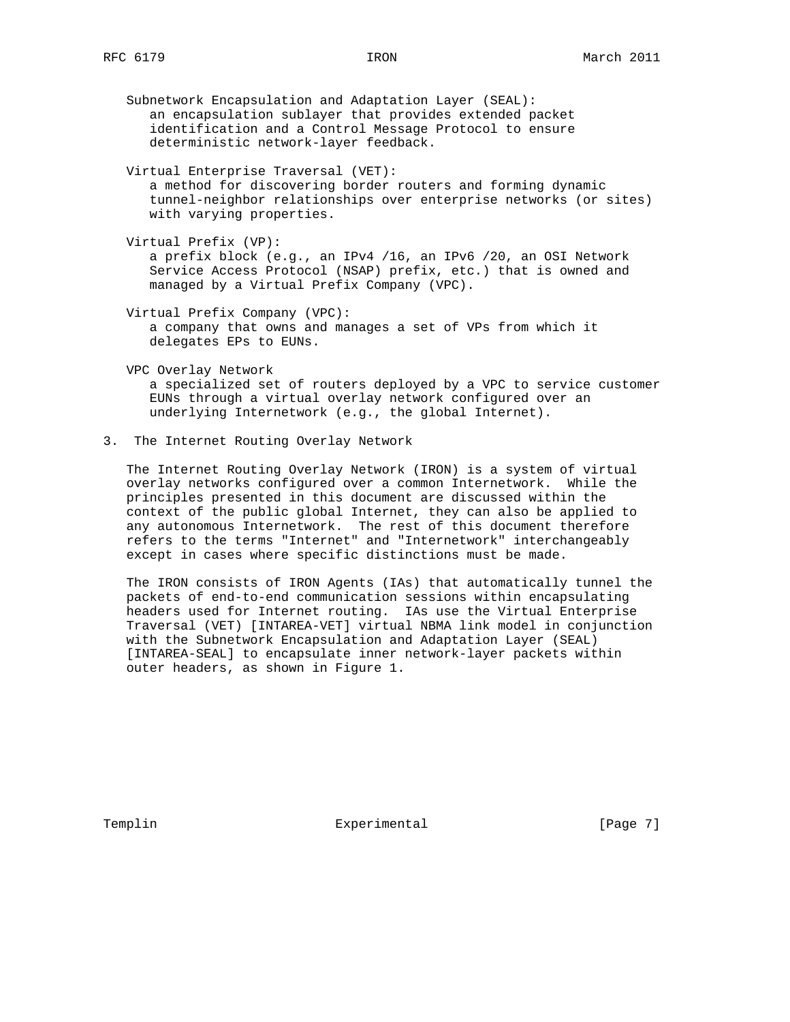Subnetwork Encapsulation and Adaptation Layer (SEAL): an encapsulation sublayer that provides extended packet identification and a Control Message Protocol to ensure deterministic network-layer feedback.

 Virtual Enterprise Traversal (VET): a method for discovering border routers and forming dynamic tunnel-neighbor relationships over enterprise networks (or sites) with varying properties.

Virtual Prefix (VP):

 a prefix block (e.g., an IPv4 /16, an IPv6 /20, an OSI Network Service Access Protocol (NSAP) prefix, etc.) that is owned and managed by a Virtual Prefix Company (VPC).

 Virtual Prefix Company (VPC): a company that owns and manages a set of VPs from which it delegates EPs to EUNs.

VPC Overlay Network

 a specialized set of routers deployed by a VPC to service customer EUNs through a virtual overlay network configured over an underlying Internetwork (e.g., the global Internet).

3. The Internet Routing Overlay Network

 The Internet Routing Overlay Network (IRON) is a system of virtual overlay networks configured over a common Internetwork. While the principles presented in this document are discussed within the context of the public global Internet, they can also be applied to any autonomous Internetwork. The rest of this document therefore refers to the terms "Internet" and "Internetwork" interchangeably except in cases where specific distinctions must be made.

 The IRON consists of IRON Agents (IAs) that automatically tunnel the packets of end-to-end communication sessions within encapsulating headers used for Internet routing. IAs use the Virtual Enterprise Traversal (VET) [INTAREA-VET] virtual NBMA link model in conjunction with the Subnetwork Encapsulation and Adaptation Layer (SEAL) [INTAREA-SEAL] to encapsulate inner network-layer packets within outer headers, as shown in Figure 1.

Templin **Experimental** Experimental [Page 7]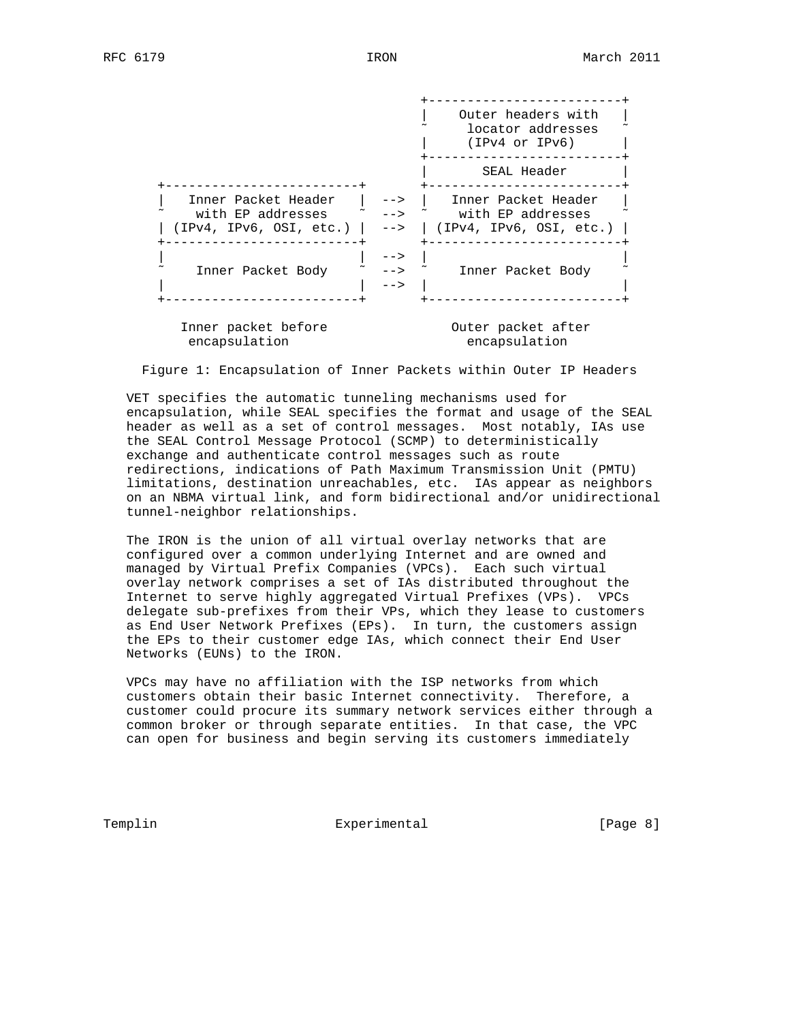|                          | Outer headers with<br>locator addresses<br>(IPv4 or IPv6)           |
|--------------------------|---------------------------------------------------------------------|
|                          | SEAL Header                                                         |
| $- >$<br>$---&$<br>$-->$ | Inner Packet Header<br>with EP addresses<br>(IPv4, IPv6, OSI, etc.) |
| $--$<br>$--&>$<br>$--&>$ | Inner Packet Body                                                   |
|                          |                                                                     |

Figure 1: Encapsulation of Inner Packets within Outer IP Headers

encapsulation encapsulation

 VET specifies the automatic tunneling mechanisms used for encapsulation, while SEAL specifies the format and usage of the SEAL header as well as a set of control messages. Most notably, IAs use the SEAL Control Message Protocol (SCMP) to deterministically exchange and authenticate control messages such as route redirections, indications of Path Maximum Transmission Unit (PMTU) limitations, destination unreachables, etc. IAs appear as neighbors on an NBMA virtual link, and form bidirectional and/or unidirectional tunnel-neighbor relationships.

 The IRON is the union of all virtual overlay networks that are configured over a common underlying Internet and are owned and managed by Virtual Prefix Companies (VPCs). Each such virtual overlay network comprises a set of IAs distributed throughout the Internet to serve highly aggregated Virtual Prefixes (VPs). VPCs delegate sub-prefixes from their VPs, which they lease to customers as End User Network Prefixes (EPs). In turn, the customers assign the EPs to their customer edge IAs, which connect their End User Networks (EUNs) to the IRON.

 VPCs may have no affiliation with the ISP networks from which customers obtain their basic Internet connectivity. Therefore, a customer could procure its summary network services either through a common broker or through separate entities. In that case, the VPC can open for business and begin serving its customers immediately

Templin **Experimental** Experimental [Page 8]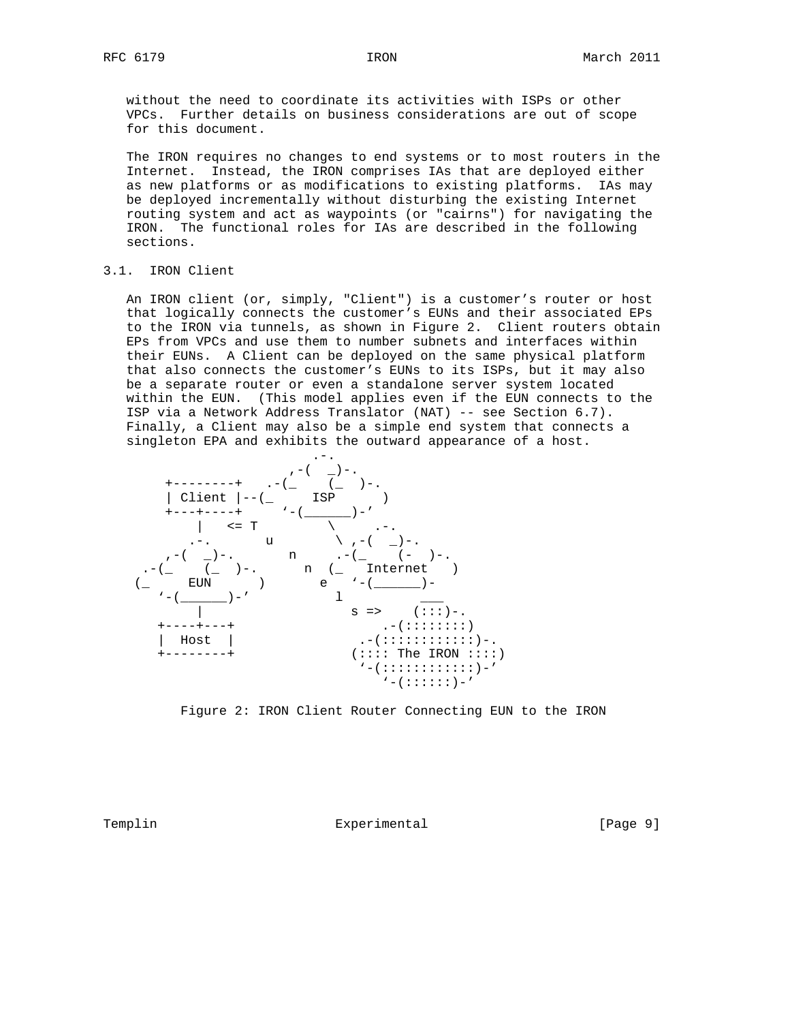without the need to coordinate its activities with ISPs or other VPCs. Further details on business considerations are out of scope for this document.

 The IRON requires no changes to end systems or to most routers in the Internet. Instead, the IRON comprises IAs that are deployed either as new platforms or as modifications to existing platforms. IAs may be deployed incrementally without disturbing the existing Internet routing system and act as waypoints (or "cairns") for navigating the IRON. The functional roles for IAs are described in the following sections.

## 3.1. IRON Client

 An IRON client (or, simply, "Client") is a customer's router or host that logically connects the customer's EUNs and their associated EPs to the IRON via tunnels, as shown in Figure 2. Client routers obtain EPs from VPCs and use them to number subnets and interfaces within their EUNs. A Client can be deployed on the same physical platform that also connects the customer's EUNs to its ISPs, but it may also be a separate router or even a standalone server system located within the EUN. (This model applies even if the EUN connects to the ISP via a Network Address Translator (NAT) -- see Section 6.7). Finally, a Client may also be a simple end system that connects a singleton EPA and exhibits the outward appearance of a host.



Figure 2: IRON Client Router Connecting EUN to the IRON

Templin **Experimental** Experimental [Page 9]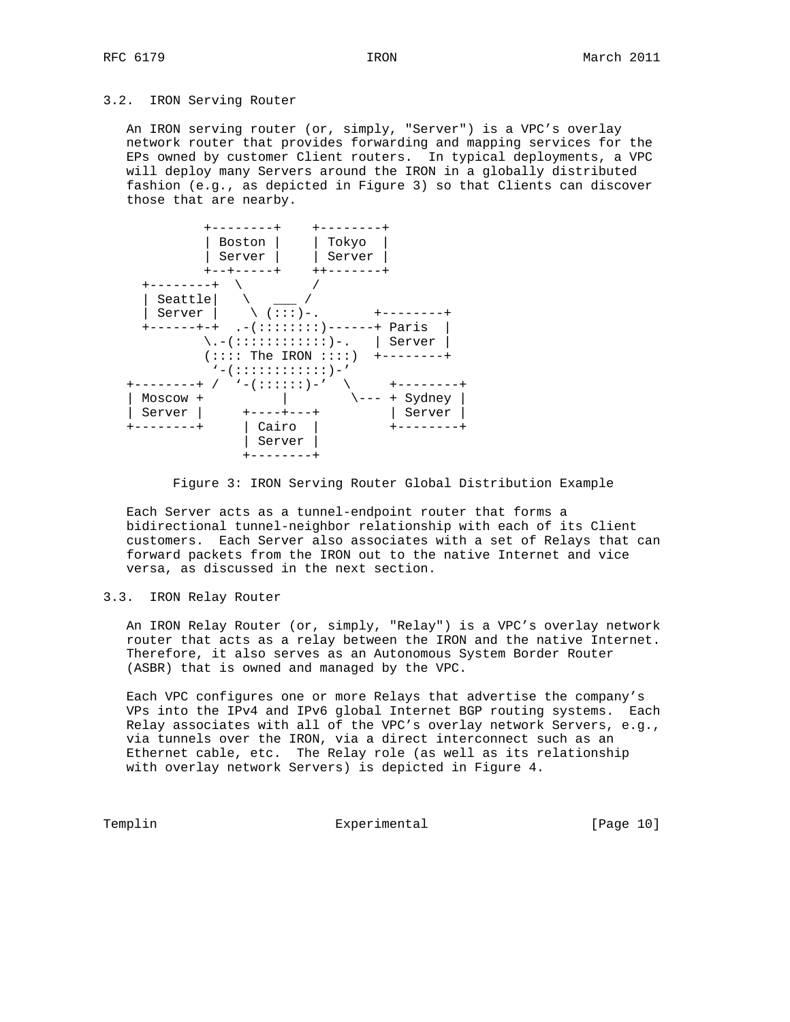#### 3.2. IRON Serving Router

 An IRON serving router (or, simply, "Server") is a VPC's overlay network router that provides forwarding and mapping services for the EPs owned by customer Client routers. In typical deployments, a VPC will deploy many Servers around the IRON in a globally distributed fashion (e.g., as depicted in Figure 3) so that Clients can discover those that are nearby.



Figure 3: IRON Serving Router Global Distribution Example

 Each Server acts as a tunnel-endpoint router that forms a bidirectional tunnel-neighbor relationship with each of its Client customers. Each Server also associates with a set of Relays that can forward packets from the IRON out to the native Internet and vice versa, as discussed in the next section.

#### 3.3. IRON Relay Router

 An IRON Relay Router (or, simply, "Relay") is a VPC's overlay network router that acts as a relay between the IRON and the native Internet. Therefore, it also serves as an Autonomous System Border Router (ASBR) that is owned and managed by the VPC.

 Each VPC configures one or more Relays that advertise the company's VPs into the IPv4 and IPv6 global Internet BGP routing systems. Each Relay associates with all of the VPC's overlay network Servers, e.g., via tunnels over the IRON, via a direct interconnect such as an Ethernet cable, etc. The Relay role (as well as its relationship with overlay network Servers) is depicted in Figure 4.

Templin **Experimental** Experimental [Page 10]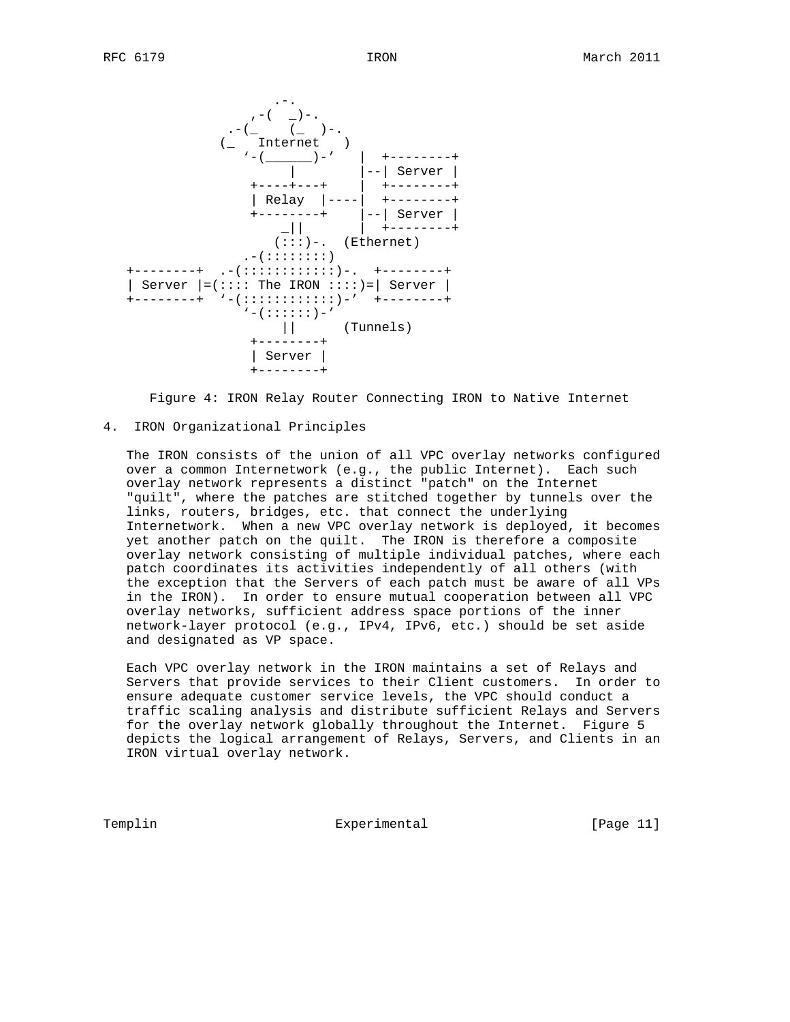

Figure 4: IRON Relay Router Connecting IRON to Native Internet

#### 4. IRON Organizational Principles

 The IRON consists of the union of all VPC overlay networks configured over a common Internetwork (e.g., the public Internet). Each such overlay network represents a distinct "patch" on the Internet "quilt", where the patches are stitched together by tunnels over the links, routers, bridges, etc. that connect the underlying Internetwork. When a new VPC overlay network is deployed, it becomes yet another patch on the quilt. The IRON is therefore a composite overlay network consisting of multiple individual patches, where each patch coordinates its activities independently of all others (with the exception that the Servers of each patch must be aware of all VPs in the IRON). In order to ensure mutual cooperation between all VPC overlay networks, sufficient address space portions of the inner network-layer protocol (e.g., IPv4, IPv6, etc.) should be set aside and designated as VP space.

 Each VPC overlay network in the IRON maintains a set of Relays and Servers that provide services to their Client customers. In order to ensure adequate customer service levels, the VPC should conduct a traffic scaling analysis and distribute sufficient Relays and Servers for the overlay network globally throughout the Internet. Figure 5 depicts the logical arrangement of Relays, Servers, and Clients in an IRON virtual overlay network.

Templin **Experimental** Experimental [Page 11]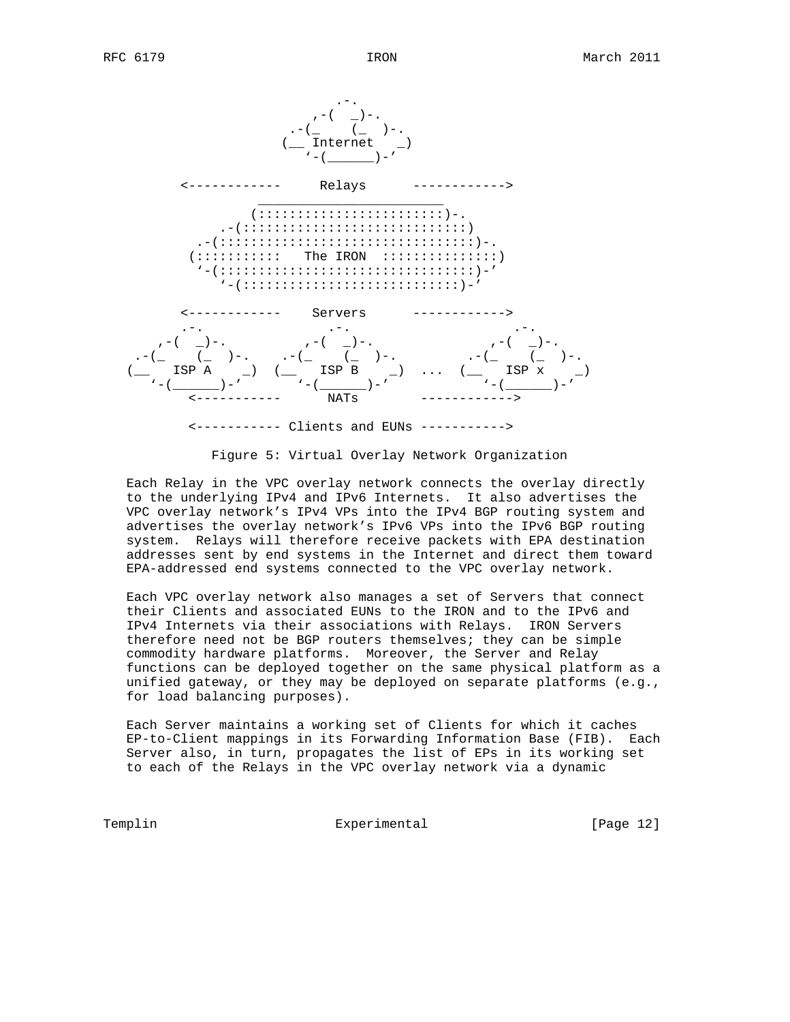

Figure 5: Virtual Overlay Network Organization

 Each Relay in the VPC overlay network connects the overlay directly to the underlying IPv4 and IPv6 Internets. It also advertises the VPC overlay network's IPv4 VPs into the IPv4 BGP routing system and advertises the overlay network's IPv6 VPs into the IPv6 BGP routing system. Relays will therefore receive packets with EPA destination addresses sent by end systems in the Internet and direct them toward EPA-addressed end systems connected to the VPC overlay network.

 Each VPC overlay network also manages a set of Servers that connect their Clients and associated EUNs to the IRON and to the IPv6 and IPv4 Internets via their associations with Relays. IRON Servers therefore need not be BGP routers themselves; they can be simple commodity hardware platforms. Moreover, the Server and Relay functions can be deployed together on the same physical platform as a unified gateway, or they may be deployed on separate platforms (e.g., for load balancing purposes).

 Each Server maintains a working set of Clients for which it caches EP-to-Client mappings in its Forwarding Information Base (FIB). Each Server also, in turn, propagates the list of EPs in its working set to each of the Relays in the VPC overlay network via a dynamic

Templin **Experimental** Experimental [Page 12]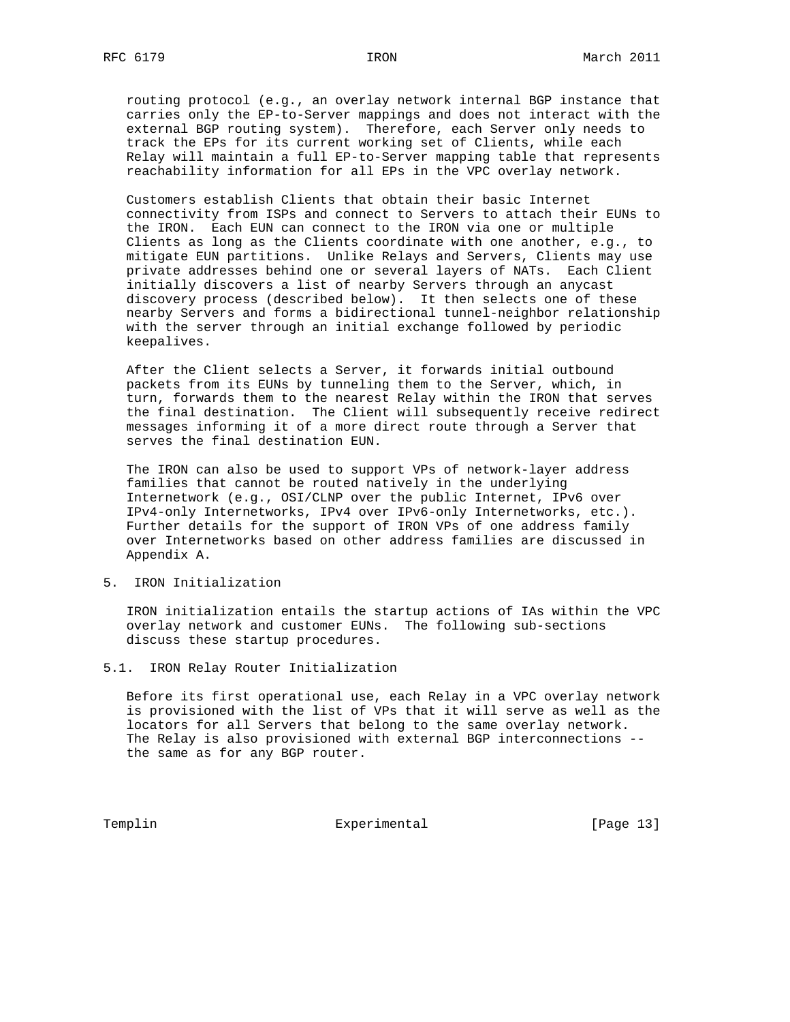routing protocol (e.g., an overlay network internal BGP instance that carries only the EP-to-Server mappings and does not interact with the external BGP routing system). Therefore, each Server only needs to track the EPs for its current working set of Clients, while each Relay will maintain a full EP-to-Server mapping table that represents reachability information for all EPs in the VPC overlay network.

 Customers establish Clients that obtain their basic Internet connectivity from ISPs and connect to Servers to attach their EUNs to the IRON. Each EUN can connect to the IRON via one or multiple Clients as long as the Clients coordinate with one another, e.g., to mitigate EUN partitions. Unlike Relays and Servers, Clients may use private addresses behind one or several layers of NATs. Each Client initially discovers a list of nearby Servers through an anycast discovery process (described below). It then selects one of these nearby Servers and forms a bidirectional tunnel-neighbor relationship with the server through an initial exchange followed by periodic keepalives.

 After the Client selects a Server, it forwards initial outbound packets from its EUNs by tunneling them to the Server, which, in turn, forwards them to the nearest Relay within the IRON that serves the final destination. The Client will subsequently receive redirect messages informing it of a more direct route through a Server that serves the final destination EUN.

 The IRON can also be used to support VPs of network-layer address families that cannot be routed natively in the underlying Internetwork (e.g., OSI/CLNP over the public Internet, IPv6 over IPv4-only Internetworks, IPv4 over IPv6-only Internetworks, etc.). Further details for the support of IRON VPs of one address family over Internetworks based on other address families are discussed in Appendix A.

5. IRON Initialization

 IRON initialization entails the startup actions of IAs within the VPC overlay network and customer EUNs. The following sub-sections discuss these startup procedures.

5.1. IRON Relay Router Initialization

 Before its first operational use, each Relay in a VPC overlay network is provisioned with the list of VPs that it will serve as well as the locators for all Servers that belong to the same overlay network. The Relay is also provisioned with external BGP interconnections - the same as for any BGP router.

Templin Experimental [Page 13]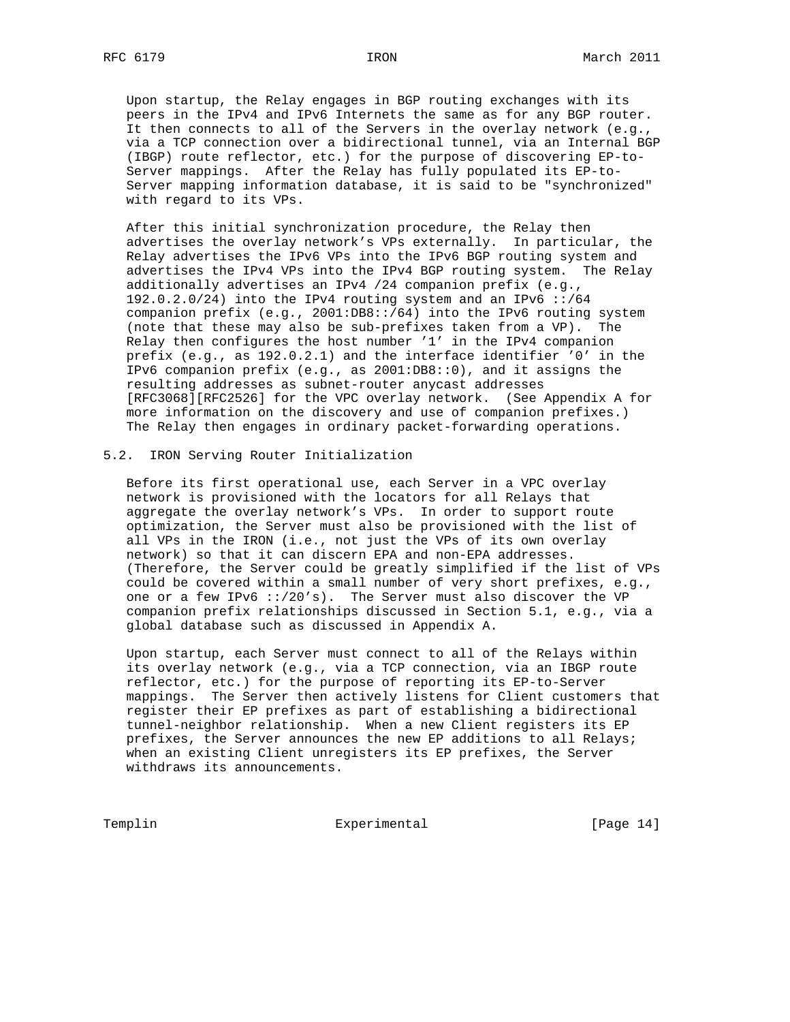Upon startup, the Relay engages in BGP routing exchanges with its peers in the IPv4 and IPv6 Internets the same as for any BGP router. It then connects to all of the Servers in the overlay network (e.g., via a TCP connection over a bidirectional tunnel, via an Internal BGP (IBGP) route reflector, etc.) for the purpose of discovering EP-to- Server mappings. After the Relay has fully populated its EP-to- Server mapping information database, it is said to be "synchronized" with regard to its VPs.

 After this initial synchronization procedure, the Relay then advertises the overlay network's VPs externally. In particular, the Relay advertises the IPv6 VPs into the IPv6 BGP routing system and advertises the IPv4 VPs into the IPv4 BGP routing system. The Relay additionally advertises an IPv4 /24 companion prefix (e.g., 192.0.2.0/24) into the IPv4 routing system and an IPv6 ::/64 companion prefix (e.g., 2001:DB8::/64) into the IPv6 routing system (note that these may also be sub-prefixes taken from a VP). The Relay then configures the host number '1' in the IPv4 companion prefix (e.g., as 192.0.2.1) and the interface identifier '0' in the IPv6 companion prefix (e.g., as 2001:DB8::0), and it assigns the resulting addresses as subnet-router anycast addresses [RFC3068][RFC2526] for the VPC overlay network. (See Appendix A for more information on the discovery and use of companion prefixes.) The Relay then engages in ordinary packet-forwarding operations.

#### 5.2. IRON Serving Router Initialization

 Before its first operational use, each Server in a VPC overlay network is provisioned with the locators for all Relays that aggregate the overlay network's VPs. In order to support route optimization, the Server must also be provisioned with the list of all VPs in the IRON (i.e., not just the VPs of its own overlay network) so that it can discern EPA and non-EPA addresses. (Therefore, the Server could be greatly simplified if the list of VPs could be covered within a small number of very short prefixes, e.g., one or a few IPv6  $::/20's$ ). The Server must also discover the VP companion prefix relationships discussed in Section 5.1, e.g., via a global database such as discussed in Appendix A.

 Upon startup, each Server must connect to all of the Relays within its overlay network (e.g., via a TCP connection, via an IBGP route reflector, etc.) for the purpose of reporting its EP-to-Server mappings. The Server then actively listens for Client customers that register their EP prefixes as part of establishing a bidirectional tunnel-neighbor relationship. When a new Client registers its EP prefixes, the Server announces the new EP additions to all Relays; when an existing Client unregisters its EP prefixes, the Server withdraws its announcements.

Templin Experimental [Page 14]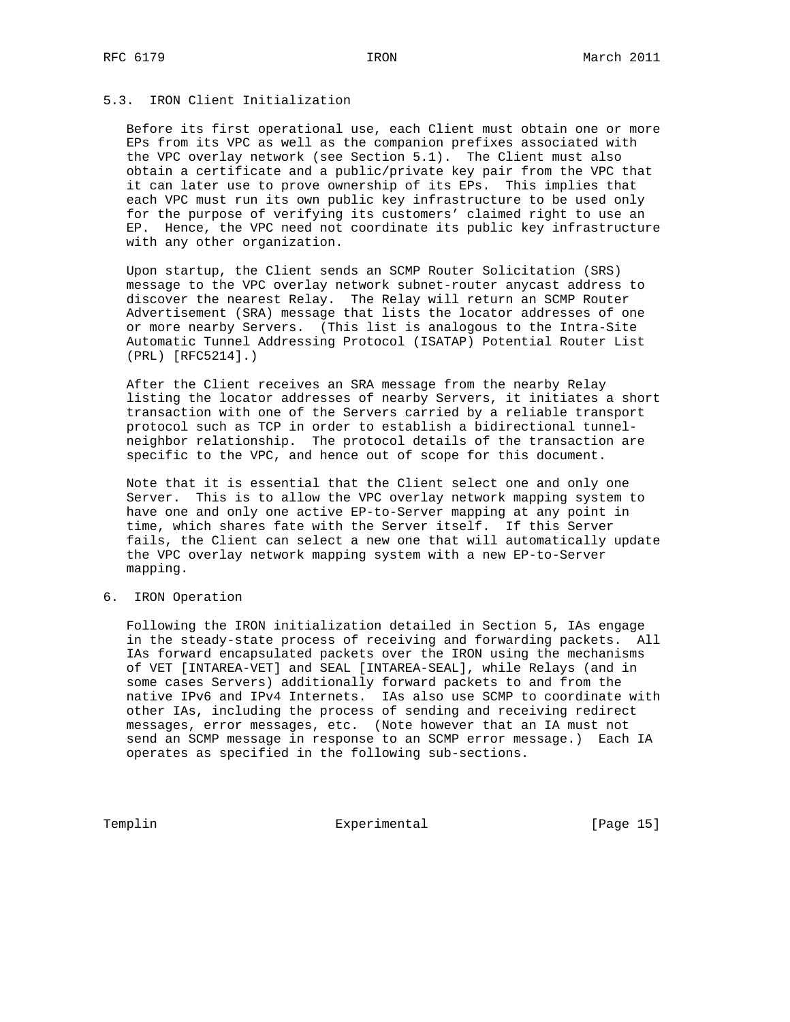## 5.3. IRON Client Initialization

 Before its first operational use, each Client must obtain one or more EPs from its VPC as well as the companion prefixes associated with the VPC overlay network (see Section 5.1). The Client must also obtain a certificate and a public/private key pair from the VPC that it can later use to prove ownership of its EPs. This implies that each VPC must run its own public key infrastructure to be used only for the purpose of verifying its customers' claimed right to use an EP. Hence, the VPC need not coordinate its public key infrastructure with any other organization.

 Upon startup, the Client sends an SCMP Router Solicitation (SRS) message to the VPC overlay network subnet-router anycast address to discover the nearest Relay. The Relay will return an SCMP Router Advertisement (SRA) message that lists the locator addresses of one or more nearby Servers. (This list is analogous to the Intra-Site Automatic Tunnel Addressing Protocol (ISATAP) Potential Router List (PRL) [RFC5214].)

 After the Client receives an SRA message from the nearby Relay listing the locator addresses of nearby Servers, it initiates a short transaction with one of the Servers carried by a reliable transport protocol such as TCP in order to establish a bidirectional tunnel neighbor relationship. The protocol details of the transaction are specific to the VPC, and hence out of scope for this document.

 Note that it is essential that the Client select one and only one Server. This is to allow the VPC overlay network mapping system to have one and only one active EP-to-Server mapping at any point in time, which shares fate with the Server itself. If this Server fails, the Client can select a new one that will automatically update the VPC overlay network mapping system with a new EP-to-Server mapping.

#### 6. IRON Operation

 Following the IRON initialization detailed in Section 5, IAs engage in the steady-state process of receiving and forwarding packets. All IAs forward encapsulated packets over the IRON using the mechanisms of VET [INTAREA-VET] and SEAL [INTAREA-SEAL], while Relays (and in some cases Servers) additionally forward packets to and from the native IPv6 and IPv4 Internets. IAs also use SCMP to coordinate with other IAs, including the process of sending and receiving redirect messages, error messages, etc. (Note however that an IA must not send an SCMP message in response to an SCMP error message.) Each IA operates as specified in the following sub-sections.

Templin Experimental [Page 15]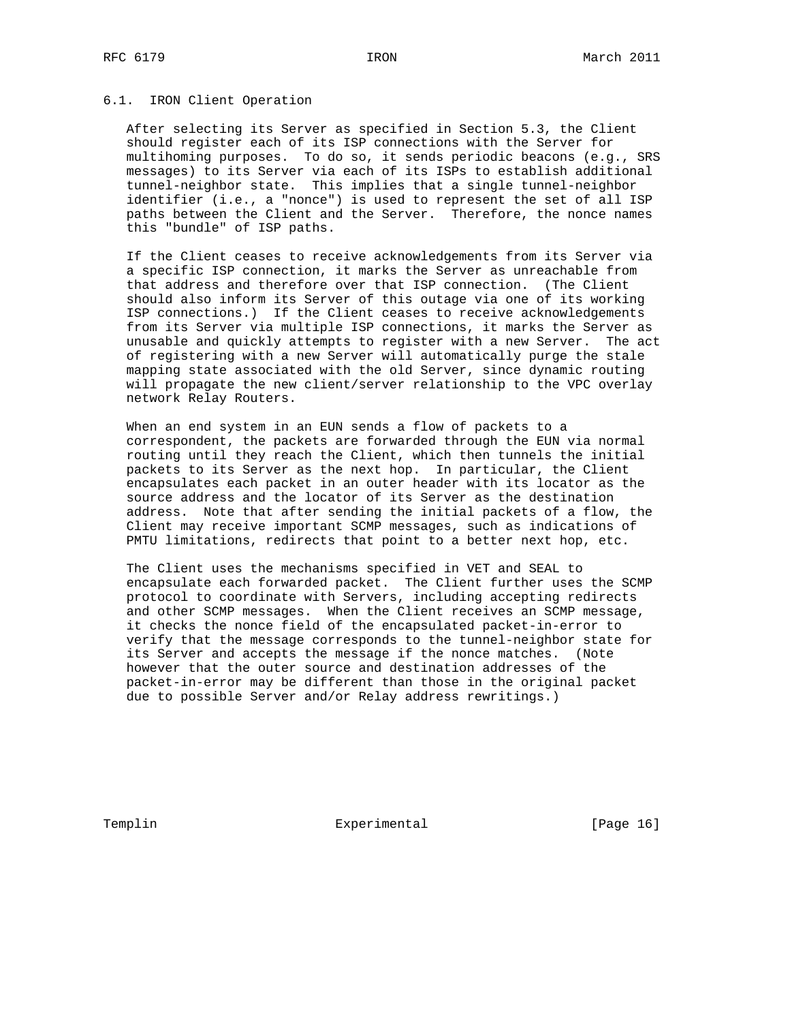#### 6.1. IRON Client Operation

 After selecting its Server as specified in Section 5.3, the Client should register each of its ISP connections with the Server for multihoming purposes. To do so, it sends periodic beacons (e.g., SRS messages) to its Server via each of its ISPs to establish additional tunnel-neighbor state. This implies that a single tunnel-neighbor identifier (i.e., a "nonce") is used to represent the set of all ISP paths between the Client and the Server. Therefore, the nonce names this "bundle" of ISP paths.

 If the Client ceases to receive acknowledgements from its Server via a specific ISP connection, it marks the Server as unreachable from that address and therefore over that ISP connection. (The Client should also inform its Server of this outage via one of its working ISP connections.) If the Client ceases to receive acknowledgements from its Server via multiple ISP connections, it marks the Server as unusable and quickly attempts to register with a new Server. The act of registering with a new Server will automatically purge the stale mapping state associated with the old Server, since dynamic routing will propagate the new client/server relationship to the VPC overlay network Relay Routers.

 When an end system in an EUN sends a flow of packets to a correspondent, the packets are forwarded through the EUN via normal routing until they reach the Client, which then tunnels the initial packets to its Server as the next hop. In particular, the Client encapsulates each packet in an outer header with its locator as the source address and the locator of its Server as the destination address. Note that after sending the initial packets of a flow, the Client may receive important SCMP messages, such as indications of PMTU limitations, redirects that point to a better next hop, etc.

 The Client uses the mechanisms specified in VET and SEAL to encapsulate each forwarded packet. The Client further uses the SCMP protocol to coordinate with Servers, including accepting redirects and other SCMP messages. When the Client receives an SCMP message, it checks the nonce field of the encapsulated packet-in-error to verify that the message corresponds to the tunnel-neighbor state for its Server and accepts the message if the nonce matches. (Note however that the outer source and destination addresses of the packet-in-error may be different than those in the original packet due to possible Server and/or Relay address rewritings.)

Templin **Experimental** Experimental [Page 16]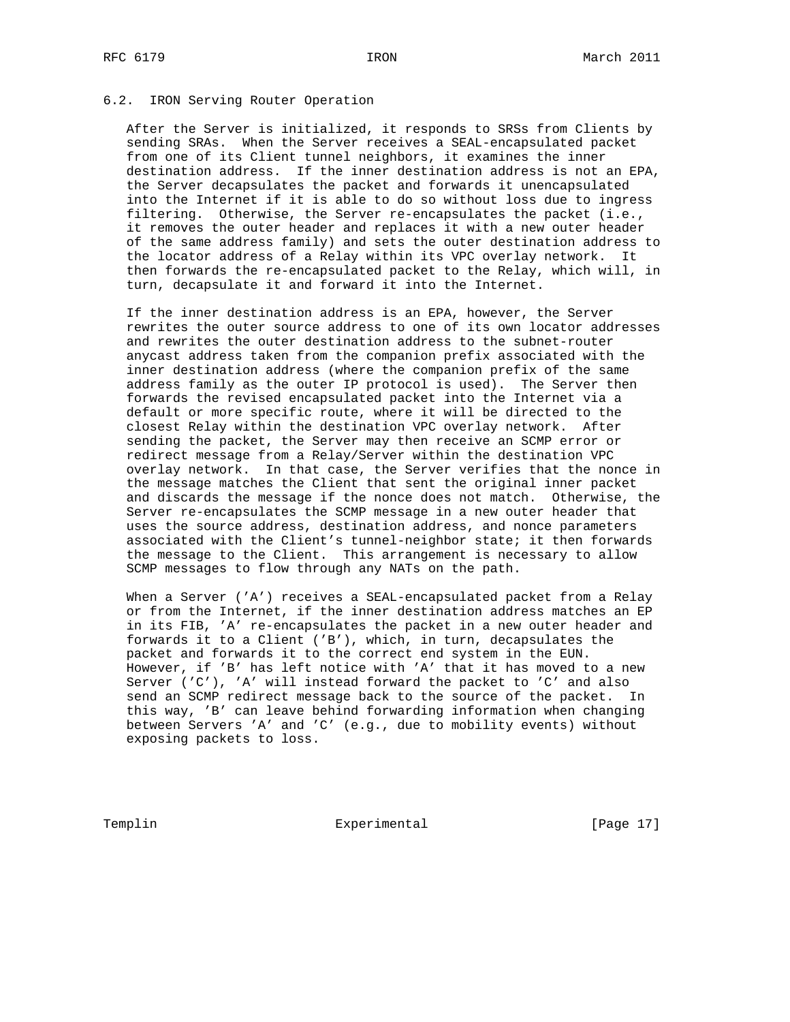## 6.2. IRON Serving Router Operation

 After the Server is initialized, it responds to SRSs from Clients by sending SRAs. When the Server receives a SEAL-encapsulated packet from one of its Client tunnel neighbors, it examines the inner destination address. If the inner destination address is not an EPA, the Server decapsulates the packet and forwards it unencapsulated into the Internet if it is able to do so without loss due to ingress filtering. Otherwise, the Server re-encapsulates the packet (i.e., it removes the outer header and replaces it with a new outer header of the same address family) and sets the outer destination address to the locator address of a Relay within its VPC overlay network. It then forwards the re-encapsulated packet to the Relay, which will, in turn, decapsulate it and forward it into the Internet.

 If the inner destination address is an EPA, however, the Server rewrites the outer source address to one of its own locator addresses and rewrites the outer destination address to the subnet-router anycast address taken from the companion prefix associated with the inner destination address (where the companion prefix of the same address family as the outer IP protocol is used). The Server then forwards the revised encapsulated packet into the Internet via a default or more specific route, where it will be directed to the closest Relay within the destination VPC overlay network. After sending the packet, the Server may then receive an SCMP error or redirect message from a Relay/Server within the destination VPC overlay network. In that case, the Server verifies that the nonce in the message matches the Client that sent the original inner packet and discards the message if the nonce does not match. Otherwise, the Server re-encapsulates the SCMP message in a new outer header that uses the source address, destination address, and nonce parameters associated with the Client's tunnel-neighbor state; it then forwards the message to the Client. This arrangement is necessary to allow SCMP messages to flow through any NATs on the path.

When a Server ('A') receives a SEAL-encapsulated packet from a Relay or from the Internet, if the inner destination address matches an EP in its FIB, 'A' re-encapsulates the packet in a new outer header and forwards it to a Client ('B'), which, in turn, decapsulates the packet and forwards it to the correct end system in the EUN. However, if 'B' has left notice with 'A' that it has moved to a new Server ('C'), 'A' will instead forward the packet to 'C' and also send an SCMP redirect message back to the source of the packet. In this way, 'B' can leave behind forwarding information when changing between Servers 'A' and 'C' (e.g., due to mobility events) without exposing packets to loss.

Templin Experimental [Page 17]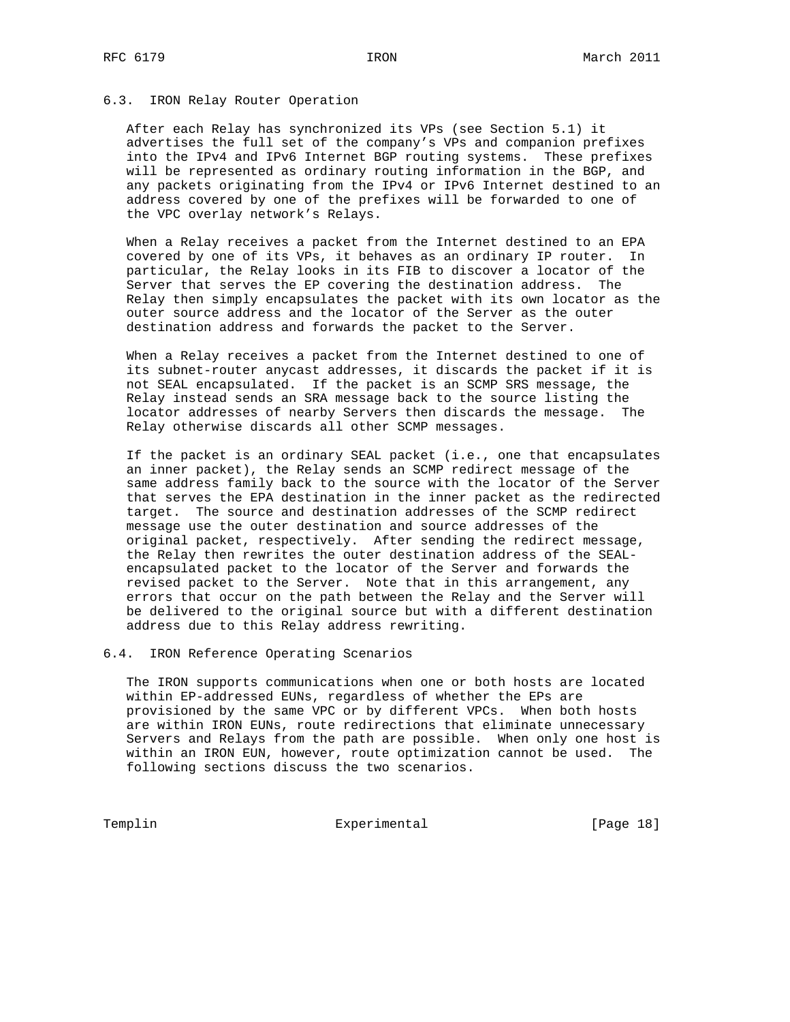## 6.3. IRON Relay Router Operation

 After each Relay has synchronized its VPs (see Section 5.1) it advertises the full set of the company's VPs and companion prefixes into the IPv4 and IPv6 Internet BGP routing systems. These prefixes will be represented as ordinary routing information in the BGP, and any packets originating from the IPv4 or IPv6 Internet destined to an address covered by one of the prefixes will be forwarded to one of the VPC overlay network's Relays.

 When a Relay receives a packet from the Internet destined to an EPA covered by one of its VPs, it behaves as an ordinary IP router. In particular, the Relay looks in its FIB to discover a locator of the Server that serves the EP covering the destination address. The Relay then simply encapsulates the packet with its own locator as the outer source address and the locator of the Server as the outer destination address and forwards the packet to the Server.

 When a Relay receives a packet from the Internet destined to one of its subnet-router anycast addresses, it discards the packet if it is not SEAL encapsulated. If the packet is an SCMP SRS message, the Relay instead sends an SRA message back to the source listing the locator addresses of nearby Servers then discards the message. The Relay otherwise discards all other SCMP messages.

 If the packet is an ordinary SEAL packet (i.e., one that encapsulates an inner packet), the Relay sends an SCMP redirect message of the same address family back to the source with the locator of the Server that serves the EPA destination in the inner packet as the redirected target. The source and destination addresses of the SCMP redirect message use the outer destination and source addresses of the original packet, respectively. After sending the redirect message, the Relay then rewrites the outer destination address of the SEAL encapsulated packet to the locator of the Server and forwards the revised packet to the Server. Note that in this arrangement, any errors that occur on the path between the Relay and the Server will be delivered to the original source but with a different destination address due to this Relay address rewriting.

#### 6.4. IRON Reference Operating Scenarios

 The IRON supports communications when one or both hosts are located within EP-addressed EUNs, regardless of whether the EPs are provisioned by the same VPC or by different VPCs. When both hosts are within IRON EUNs, route redirections that eliminate unnecessary Servers and Relays from the path are possible. When only one host is within an IRON EUN, however, route optimization cannot be used. The following sections discuss the two scenarios.

Templin Experimental [Page 18]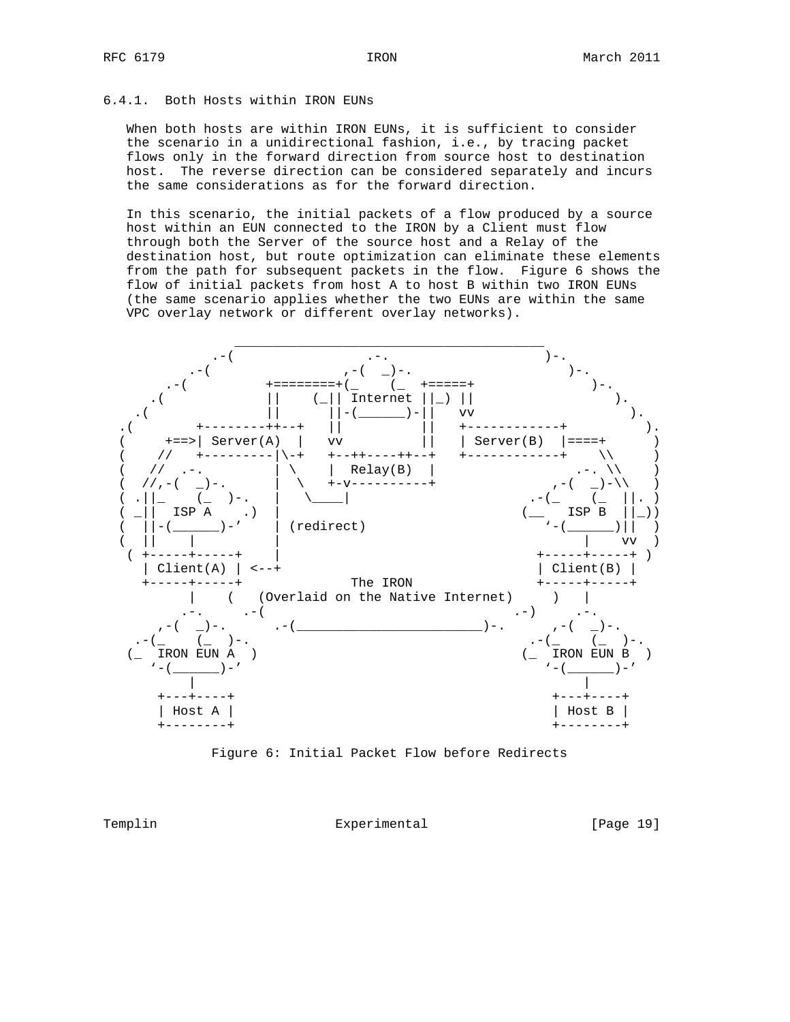# 6.4.1. Both Hosts within IRON EUNs

 When both hosts are within IRON EUNs, it is sufficient to consider the scenario in a unidirectional fashion, i.e., by tracing packet flows only in the forward direction from source host to destination host. The reverse direction can be considered separately and incurs the same considerations as for the forward direction.

 In this scenario, the initial packets of a flow produced by a source host within an EUN connected to the IRON by a Client must flow through both the Server of the source host and a Relay of the destination host, but route optimization can eliminate these elements from the path for subsequent packets in the flow. Figure 6 shows the flow of initial packets from host A to host B within two IRON EUNs (the same scenario applies whether the two EUNs are within the same VPC overlay network or different overlay networks).



Figure 6: Initial Packet Flow before Redirects

Templin **Experimental** Experimental [Page 19]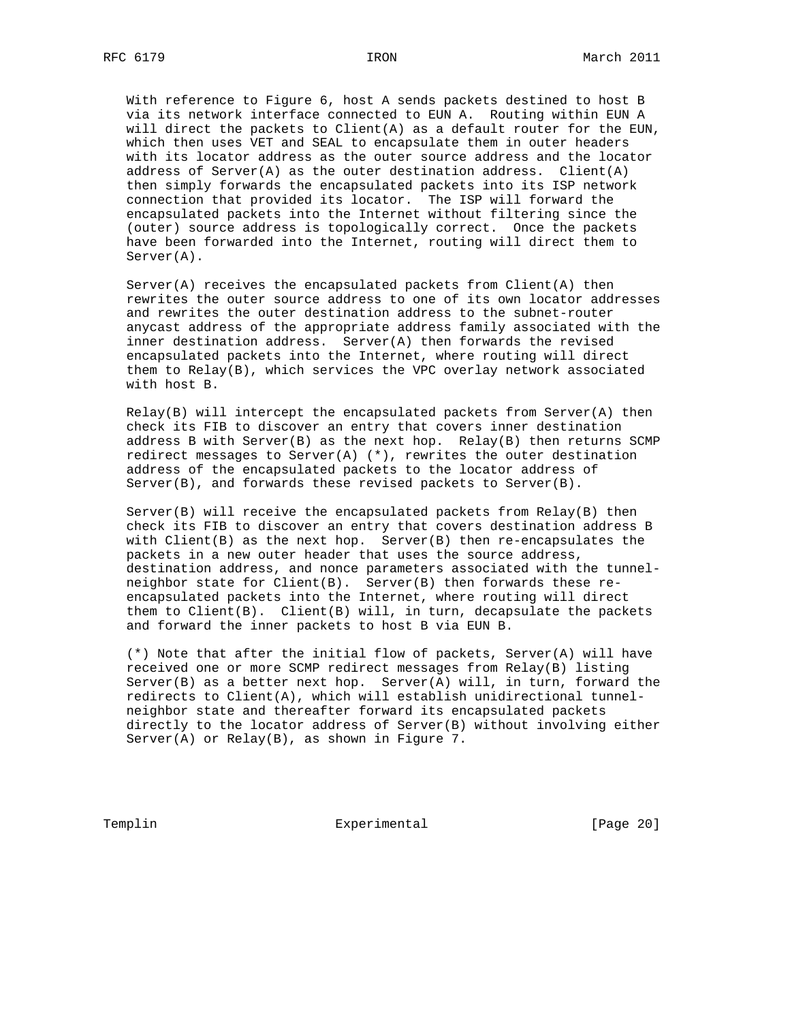With reference to Figure 6, host A sends packets destined to host B via its network interface connected to EUN A. Routing within EUN A will direct the packets to Client(A) as a default router for the EUN, which then uses VET and SEAL to encapsulate them in outer headers with its locator address as the outer source address and the locator address of  $Server(A)$  as the outer destination address. Client(A) then simply forwards the encapsulated packets into its ISP network connection that provided its locator. The ISP will forward the encapsulated packets into the Internet without filtering since the (outer) source address is topologically correct. Once the packets have been forwarded into the Internet, routing will direct them to Server(A).

Server(A) receives the encapsulated packets from Client(A) then rewrites the outer source address to one of its own locator addresses and rewrites the outer destination address to the subnet-router anycast address of the appropriate address family associated with the inner destination address. Server(A) then forwards the revised encapsulated packets into the Internet, where routing will direct them to Relay(B), which services the VPC overlay network associated with host B.

 $Relay(B)$  will intercept the encapsulated packets from  $Server(A)$  then check its FIB to discover an entry that covers inner destination address B with Server(B) as the next hop. Relay(B) then returns SCMP redirect messages to Server(A)  $(*)$ , rewrites the outer destination address of the encapsulated packets to the locator address of Server(B), and forwards these revised packets to Server(B).

 Server(B) will receive the encapsulated packets from Relay(B) then check its FIB to discover an entry that covers destination address B with Client(B) as the next hop. Server(B) then re-encapsulates the packets in a new outer header that uses the source address, destination address, and nonce parameters associated with the tunnel neighbor state for Client(B). Server(B) then forwards these re encapsulated packets into the Internet, where routing will direct them to Client(B). Client(B) will, in turn, decapsulate the packets and forward the inner packets to host B via EUN B.

 (\*) Note that after the initial flow of packets, Server(A) will have received one or more SCMP redirect messages from Relay(B) listing Server(B) as a better next hop. Server(A) will, in turn, forward the redirects to Client(A), which will establish unidirectional tunnel neighbor state and thereafter forward its encapsulated packets directly to the locator address of Server(B) without involving either Server(A) or Relay(B), as shown in Figure 7.

Templin **Experimental** Experimental [Page 20]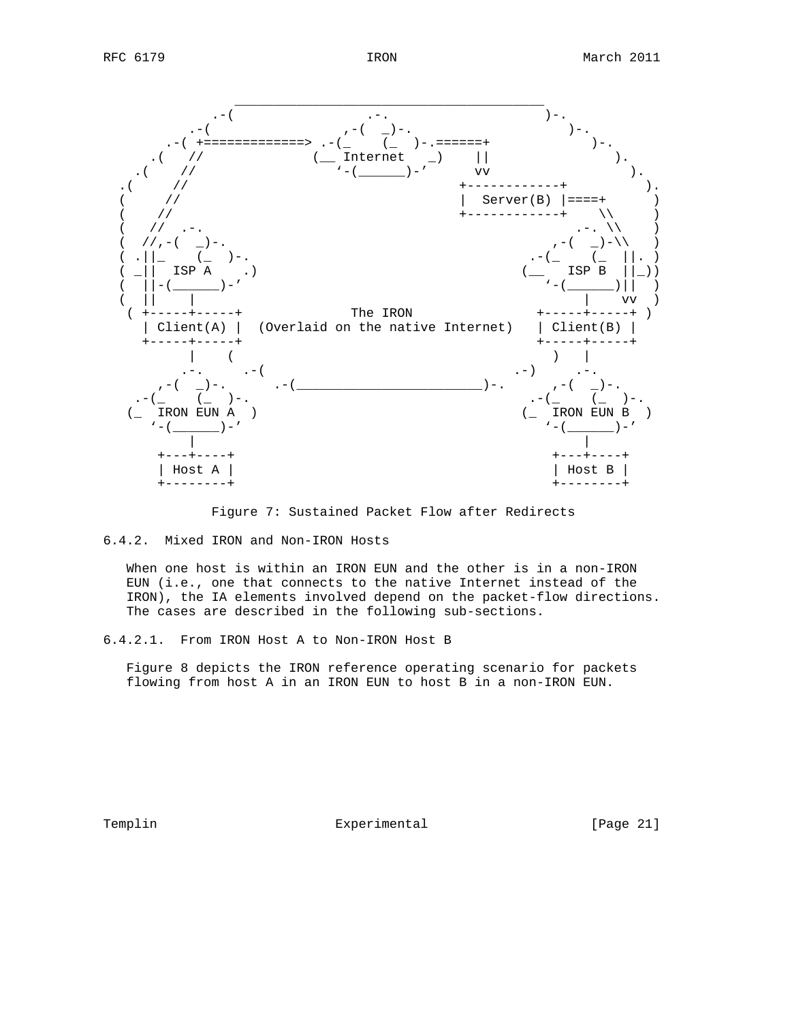

Figure 7: Sustained Packet Flow after Redirects

6.4.2. Mixed IRON and Non-IRON Hosts

 When one host is within an IRON EUN and the other is in a non-IRON EUN (i.e., one that connects to the native Internet instead of the IRON), the IA elements involved depend on the packet-flow directions. The cases are described in the following sub-sections.

6.4.2.1. From IRON Host A to Non-IRON Host B

 Figure 8 depicts the IRON reference operating scenario for packets flowing from host A in an IRON EUN to host B in a non-IRON EUN.

Templin **Experimental** Experimental [Page 21]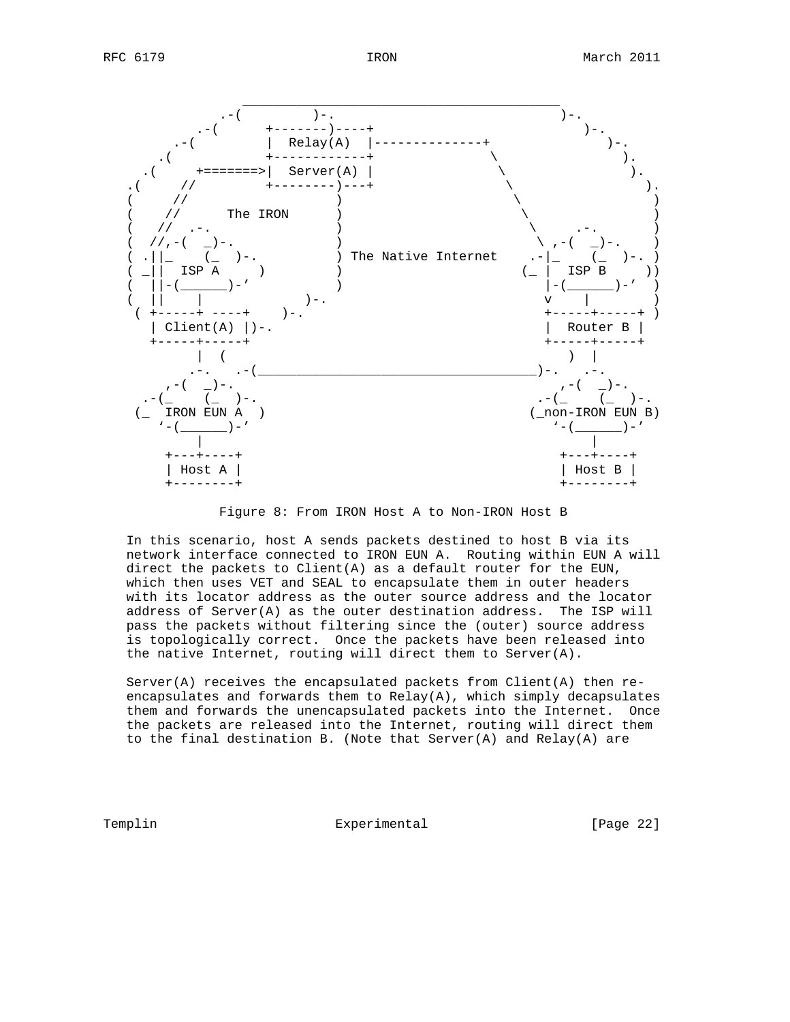

Figure 8: From IRON Host A to Non-IRON Host B

 In this scenario, host A sends packets destined to host B via its network interface connected to IRON EUN A. Routing within EUN A will direct the packets to Client $(A)$  as a default router for the EUN, which then uses VET and SEAL to encapsulate them in outer headers with its locator address as the outer source address and the locator address of Server(A) as the outer destination address. The ISP will pass the packets without filtering since the (outer) source address is topologically correct. Once the packets have been released into the native Internet, routing will direct them to Server(A).

Server(A) receives the encapsulated packets from Client(A) then  $re$  encapsulates and forwards them to Relay(A), which simply decapsulates them and forwards the unencapsulated packets into the Internet. Once the packets are released into the Internet, routing will direct them to the final destination B. (Note that Server(A) and  $Relay(A)$  are

Templin **Experimental** Experimental [Page 22]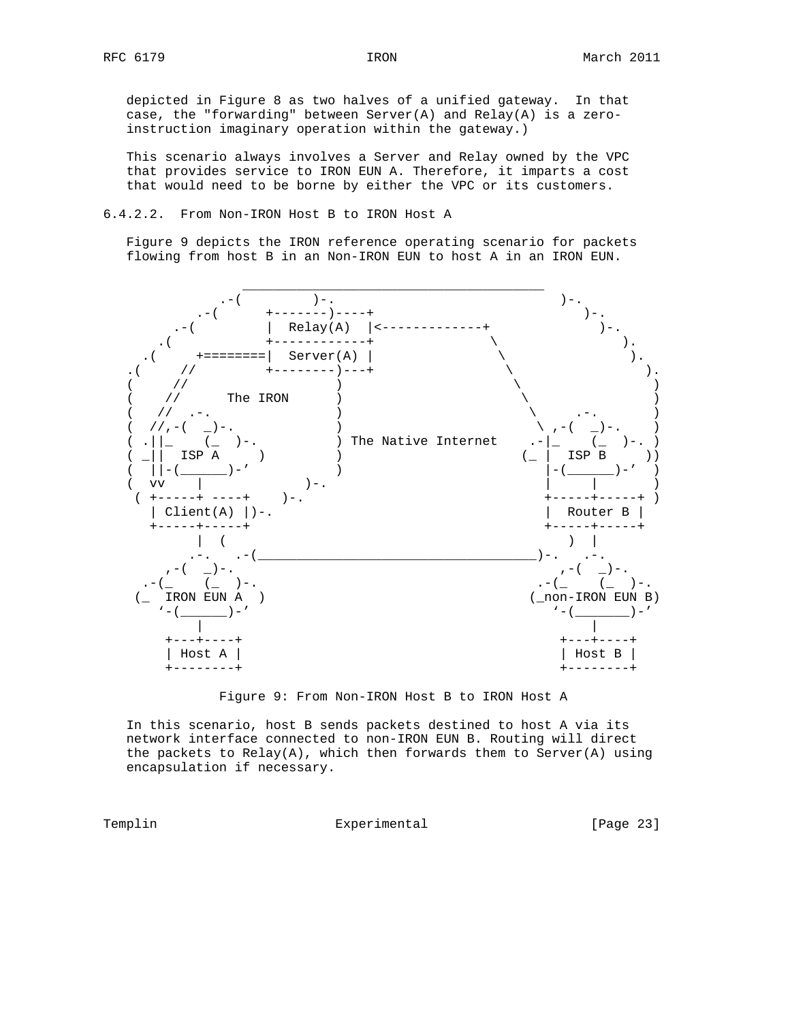depicted in Figure 8 as two halves of a unified gateway. In that case, the "forwarding" between Server(A) and  $Relay(A)$  is a zeroinstruction imaginary operation within the gateway.)

 This scenario always involves a Server and Relay owned by the VPC that provides service to IRON EUN A. Therefore, it imparts a cost that would need to be borne by either the VPC or its customers.

6.4.2.2. From Non-IRON Host B to IRON Host A

 Figure 9 depicts the IRON reference operating scenario for packets flowing from host B in an Non-IRON EUN to host A in an IRON EUN.



Figure 9: From Non-IRON Host B to IRON Host A

 In this scenario, host B sends packets destined to host A via its network interface connected to non-IRON EUN B. Routing will direct the packets to  $Relay(A)$ , which then forwards them to  $Server(A)$  using encapsulation if necessary.

Templin **Experimental** Experimental [Page 23]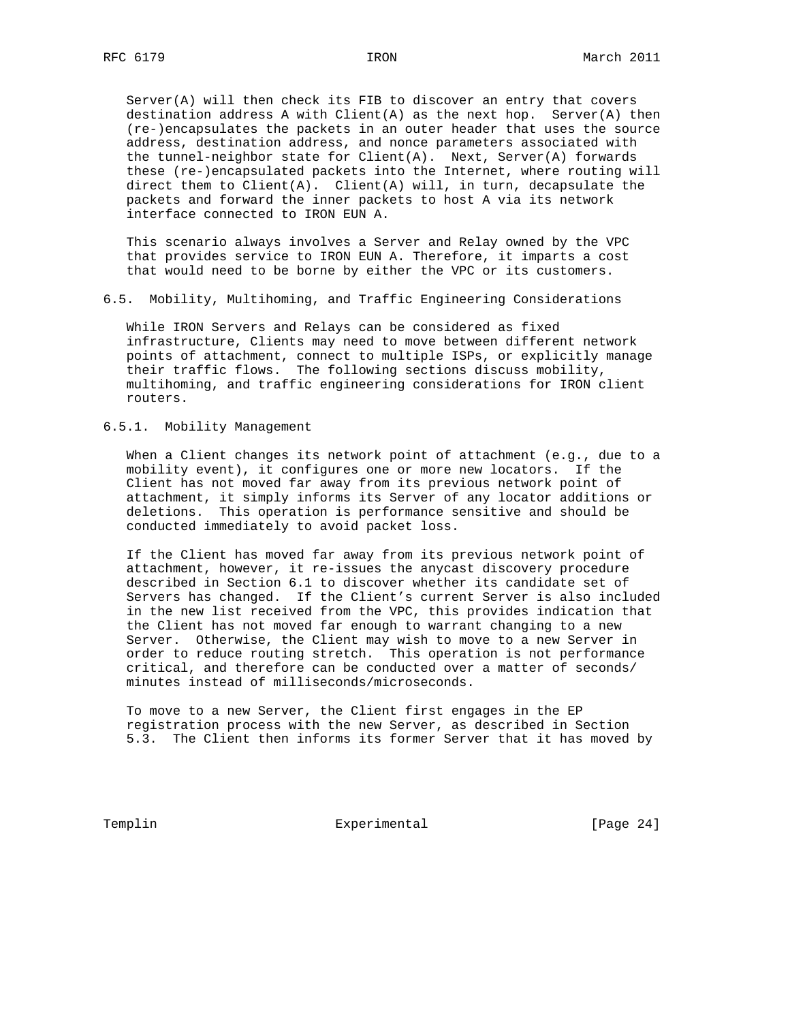Server(A) will then check its FIB to discover an entry that covers destination address A with Client(A) as the next hop. Server(A) then (re-)encapsulates the packets in an outer header that uses the source address, destination address, and nonce parameters associated with the tunnel-neighbor state for Client(A). Next, Server(A) forwards these (re-)encapsulated packets into the Internet, where routing will direct them to Client(A). Client(A) will, in turn, decapsulate the packets and forward the inner packets to host A via its network interface connected to IRON EUN A.

 This scenario always involves a Server and Relay owned by the VPC that provides service to IRON EUN A. Therefore, it imparts a cost that would need to be borne by either the VPC or its customers.

6.5. Mobility, Multihoming, and Traffic Engineering Considerations

 While IRON Servers and Relays can be considered as fixed infrastructure, Clients may need to move between different network points of attachment, connect to multiple ISPs, or explicitly manage their traffic flows. The following sections discuss mobility, multihoming, and traffic engineering considerations for IRON client routers.

## 6.5.1. Mobility Management

 When a Client changes its network point of attachment (e.g., due to a mobility event), it configures one or more new locators. If the Client has not moved far away from its previous network point of attachment, it simply informs its Server of any locator additions or deletions. This operation is performance sensitive and should be conducted immediately to avoid packet loss.

 If the Client has moved far away from its previous network point of attachment, however, it re-issues the anycast discovery procedure described in Section 6.1 to discover whether its candidate set of Servers has changed. If the Client's current Server is also included in the new list received from the VPC, this provides indication that the Client has not moved far enough to warrant changing to a new Server. Otherwise, the Client may wish to move to a new Server in order to reduce routing stretch. This operation is not performance critical, and therefore can be conducted over a matter of seconds/ minutes instead of milliseconds/microseconds.

 To move to a new Server, the Client first engages in the EP registration process with the new Server, as described in Section 5.3. The Client then informs its former Server that it has moved by

Templin Experimental Experimental [Page 24]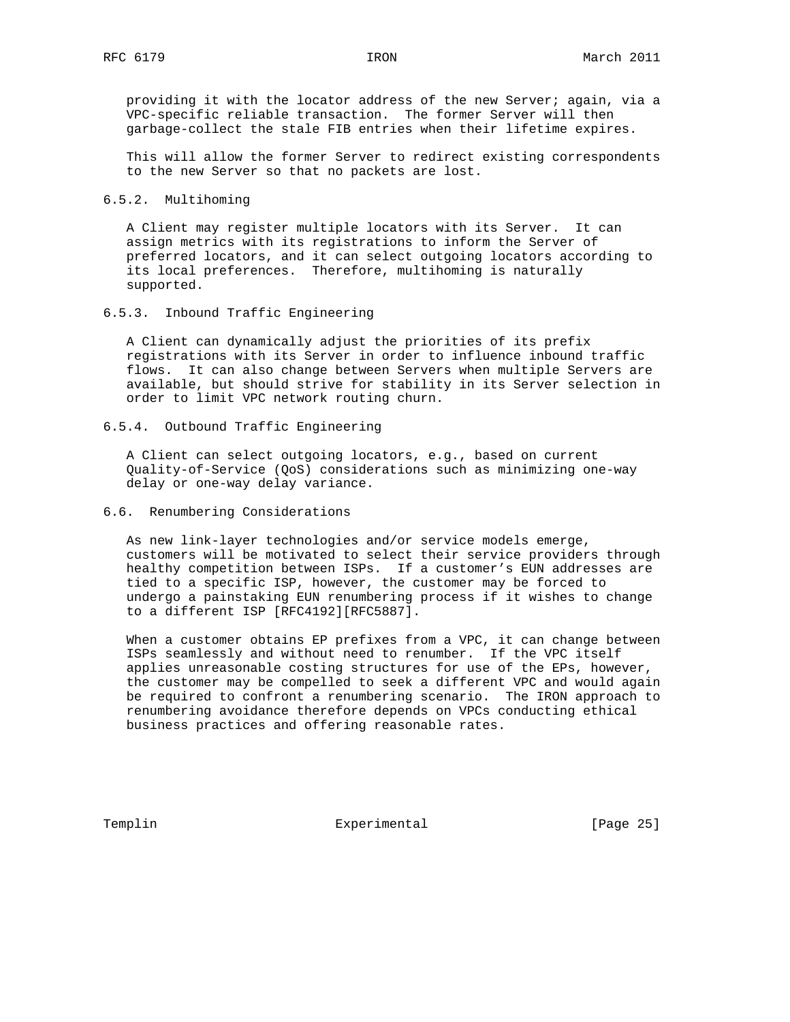providing it with the locator address of the new Server; again, via a VPC-specific reliable transaction. The former Server will then garbage-collect the stale FIB entries when their lifetime expires.

 This will allow the former Server to redirect existing correspondents to the new Server so that no packets are lost.

## 6.5.2. Multihoming

 A Client may register multiple locators with its Server. It can assign metrics with its registrations to inform the Server of preferred locators, and it can select outgoing locators according to its local preferences. Therefore, multihoming is naturally supported.

## 6.5.3. Inbound Traffic Engineering

 A Client can dynamically adjust the priorities of its prefix registrations with its Server in order to influence inbound traffic flows. It can also change between Servers when multiple Servers are available, but should strive for stability in its Server selection in order to limit VPC network routing churn.

6.5.4. Outbound Traffic Engineering

 A Client can select outgoing locators, e.g., based on current Quality-of-Service (QoS) considerations such as minimizing one-way delay or one-way delay variance.

#### 6.6. Renumbering Considerations

 As new link-layer technologies and/or service models emerge, customers will be motivated to select their service providers through healthy competition between ISPs. If a customer's EUN addresses are tied to a specific ISP, however, the customer may be forced to undergo a painstaking EUN renumbering process if it wishes to change to a different ISP [RFC4192][RFC5887].

 When a customer obtains EP prefixes from a VPC, it can change between ISPs seamlessly and without need to renumber. If the VPC itself applies unreasonable costing structures for use of the EPs, however, the customer may be compelled to seek a different VPC and would again be required to confront a renumbering scenario. The IRON approach to renumbering avoidance therefore depends on VPCs conducting ethical business practices and offering reasonable rates.

Templin **Experimental** Experimental [Page 25]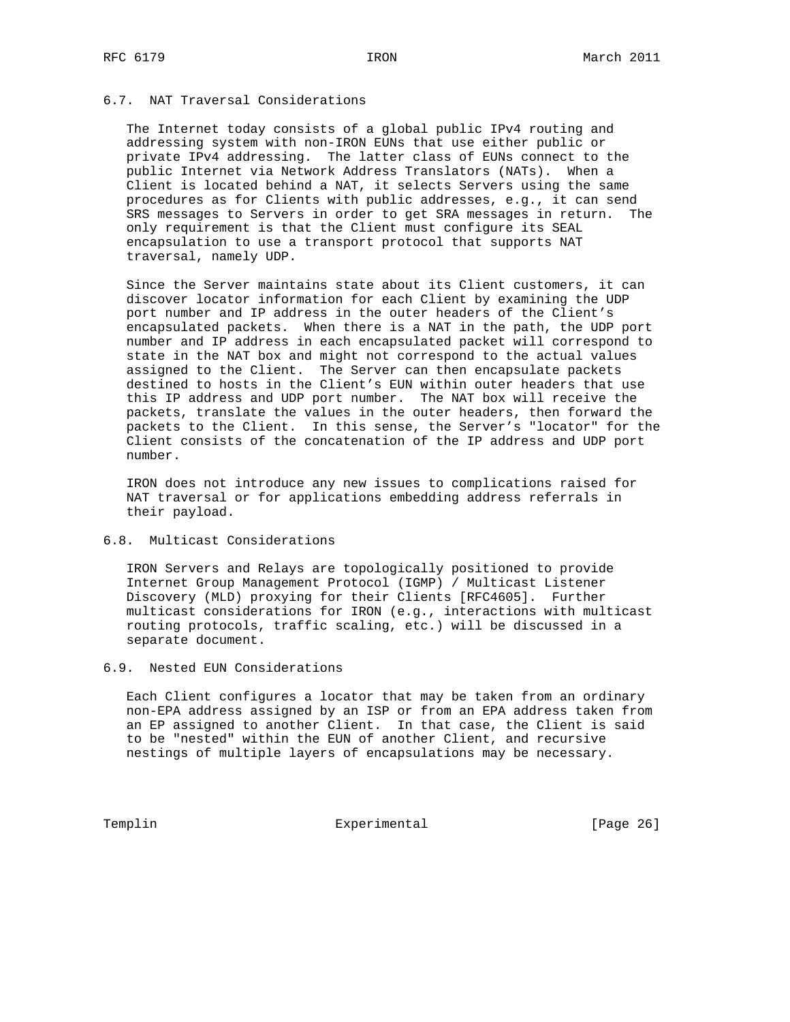## 6.7. NAT Traversal Considerations

 The Internet today consists of a global public IPv4 routing and addressing system with non-IRON EUNs that use either public or private IPv4 addressing. The latter class of EUNs connect to the public Internet via Network Address Translators (NATs). When a Client is located behind a NAT, it selects Servers using the same procedures as for Clients with public addresses, e.g., it can send SRS messages to Servers in order to get SRA messages in return. The only requirement is that the Client must configure its SEAL encapsulation to use a transport protocol that supports NAT traversal, namely UDP.

 Since the Server maintains state about its Client customers, it can discover locator information for each Client by examining the UDP port number and IP address in the outer headers of the Client's encapsulated packets. When there is a NAT in the path, the UDP port number and IP address in each encapsulated packet will correspond to state in the NAT box and might not correspond to the actual values assigned to the Client. The Server can then encapsulate packets destined to hosts in the Client's EUN within outer headers that use this IP address and UDP port number. The NAT box will receive the packets, translate the values in the outer headers, then forward the packets to the Client. In this sense, the Server's "locator" for the Client consists of the concatenation of the IP address and UDP port number.

 IRON does not introduce any new issues to complications raised for NAT traversal or for applications embedding address referrals in their payload.

## 6.8. Multicast Considerations

 IRON Servers and Relays are topologically positioned to provide Internet Group Management Protocol (IGMP) / Multicast Listener Discovery (MLD) proxying for their Clients [RFC4605]. Further multicast considerations for IRON (e.g., interactions with multicast routing protocols, traffic scaling, etc.) will be discussed in a separate document.

#### 6.9. Nested EUN Considerations

 Each Client configures a locator that may be taken from an ordinary non-EPA address assigned by an ISP or from an EPA address taken from an EP assigned to another Client. In that case, the Client is said to be "nested" within the EUN of another Client, and recursive nestings of multiple layers of encapsulations may be necessary.

Templin Experimental [Page 26]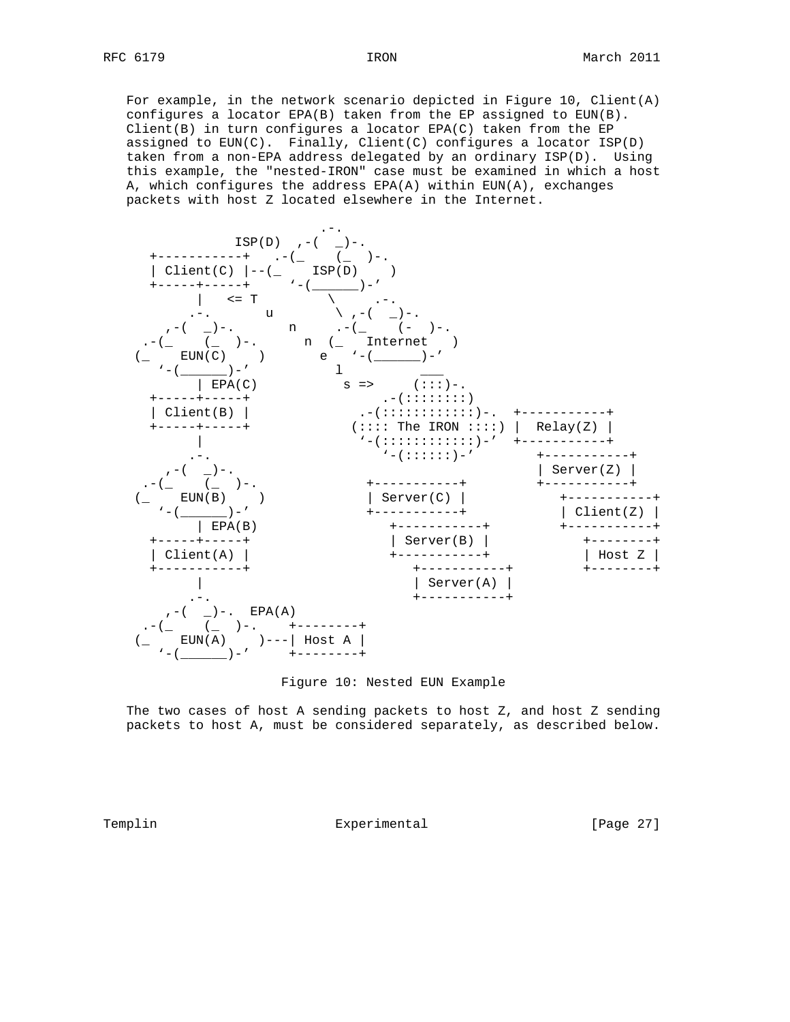For example, in the network scenario depicted in Figure 10, Client(A) configures a locator EPA(B) taken from the EP assigned to EUN(B). Client(B) in turn configures a locator EPA(C) taken from the EP assigned to EUN(C). Finally, Client(C) configures a locator ISP(D) taken from a non-EPA address delegated by an ordinary ISP(D). Using this example, the "nested-IRON" case must be examined in which a host A, which configures the address EPA(A) within EUN(A), exchanges packets with host Z located elsewhere in the Internet.



Figure 10: Nested EUN Example

 The two cases of host A sending packets to host Z, and host Z sending packets to host A, must be considered separately, as described below.

Templin **Experimental** Experimental [Page 27]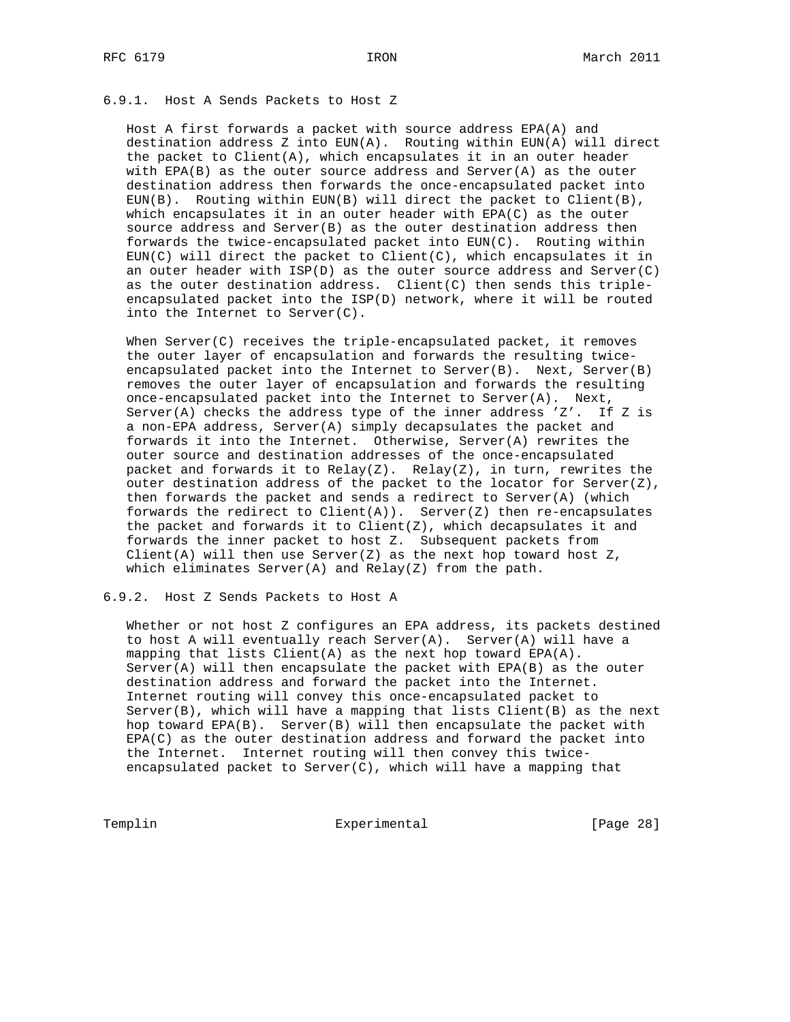## 6.9.1. Host A Sends Packets to Host Z

 Host A first forwards a packet with source address EPA(A) and destination address Z into EUN(A). Routing within EUN(A) will direct the packet to Client(A), which encapsulates it in an outer header with EPA(B) as the outer source address and Server(A) as the outer destination address then forwards the once-encapsulated packet into EUN(B). Routing within EUN(B) will direct the packet to Client(B), which encapsulates it in an outer header with EPA(C) as the outer source address and Server(B) as the outer destination address then forwards the twice-encapsulated packet into EUN(C). Routing within  $EUN(C)$  will direct the packet to Client(C), which encapsulates it in an outer header with  $ISP(D)$  as the outer source address and  $Server(C)$  as the outer destination address. Client(C) then sends this triple encapsulated packet into the ISP(D) network, where it will be routed into the Internet to Server(C).

When Server(C) receives the triple-encapsulated packet, it removes the outer layer of encapsulation and forwards the resulting twice encapsulated packet into the Internet to Server(B). Next, Server(B) removes the outer layer of encapsulation and forwards the resulting once-encapsulated packet into the Internet to Server(A). Next, Server(A) checks the address type of the inner address  $'Z'$ . If Z is a non-EPA address,  $Server(A)$  simply decapsulates the packet and forwards it into the Internet. Otherwise, Server(A) rewrites the outer source and destination addresses of the once-encapsulated packet and forwards it to Relay(Z). Relay(Z), in turn, rewrites the outer destination address of the packet to the locator for Server(Z), then forwards the packet and sends a redirect to Server(A) (which forwards the redirect to  $Client(A))$ . Server(Z) then re-encapsulates the packet and forwards it to  $Client(Z)$ , which decapsulates it and forwards the inner packet to host Z. Subsequent packets from Client(A) will then use Server(Z) as the next hop toward host  $Z$ , which eliminates Server(A) and Relay(Z) from the path.

#### 6.9.2. Host Z Sends Packets to Host A

 Whether or not host Z configures an EPA address, its packets destined to host A will eventually reach Server $(A)$ . Server $(A)$  will have a mapping that lists Client(A) as the next hop toward EPA(A). Server(A) will then encapsulate the packet with EPA(B) as the outer destination address and forward the packet into the Internet. Internet routing will convey this once-encapsulated packet to Server(B), which will have a mapping that lists  $Client(B)$  as the next hop toward EPA(B). Server(B) will then encapsulate the packet with EPA(C) as the outer destination address and forward the packet into the Internet. Internet routing will then convey this twice encapsulated packet to Server(C), which will have a mapping that

Templin Experimental Experimental [Page 28]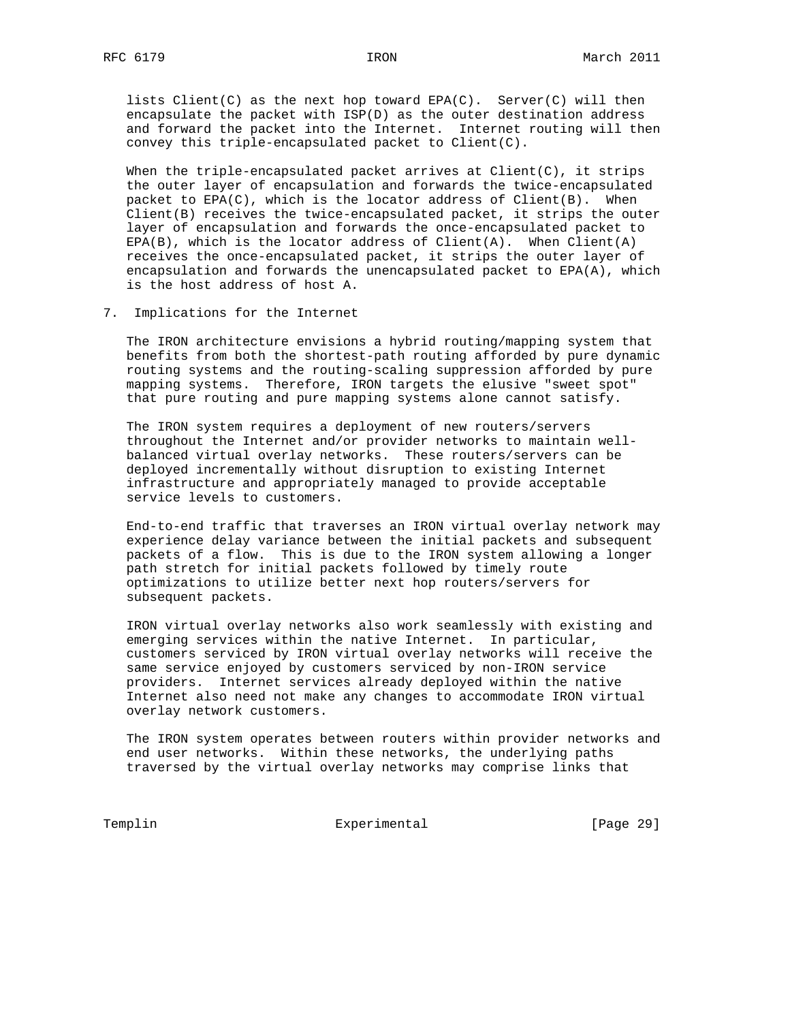lists Client(C) as the next hop toward EPA(C). Server(C) will then encapsulate the packet with ISP(D) as the outer destination address and forward the packet into the Internet. Internet routing will then convey this triple-encapsulated packet to Client(C).

When the triple-encapsulated packet arrives at  $Client(C)$ , it strips the outer layer of encapsulation and forwards the twice-encapsulated packet to EPA(C), which is the locator address of Client(B). When Client(B) receives the twice-encapsulated packet, it strips the outer layer of encapsulation and forwards the once-encapsulated packet to  $EPA(B)$ , which is the locator address of Client $(A)$ . When Client $(A)$  receives the once-encapsulated packet, it strips the outer layer of encapsulation and forwards the unencapsulated packet to EPA(A), which is the host address of host A.

7. Implications for the Internet

 The IRON architecture envisions a hybrid routing/mapping system that benefits from both the shortest-path routing afforded by pure dynamic routing systems and the routing-scaling suppression afforded by pure mapping systems. Therefore, IRON targets the elusive "sweet spot" that pure routing and pure mapping systems alone cannot satisfy.

 The IRON system requires a deployment of new routers/servers throughout the Internet and/or provider networks to maintain well balanced virtual overlay networks. These routers/servers can be deployed incrementally without disruption to existing Internet infrastructure and appropriately managed to provide acceptable service levels to customers.

 End-to-end traffic that traverses an IRON virtual overlay network may experience delay variance between the initial packets and subsequent packets of a flow. This is due to the IRON system allowing a longer path stretch for initial packets followed by timely route optimizations to utilize better next hop routers/servers for subsequent packets.

 IRON virtual overlay networks also work seamlessly with existing and emerging services within the native Internet. In particular, customers serviced by IRON virtual overlay networks will receive the same service enjoyed by customers serviced by non-IRON service providers. Internet services already deployed within the native Internet also need not make any changes to accommodate IRON virtual overlay network customers.

 The IRON system operates between routers within provider networks and end user networks. Within these networks, the underlying paths traversed by the virtual overlay networks may comprise links that

Templin Experimental [Page 29]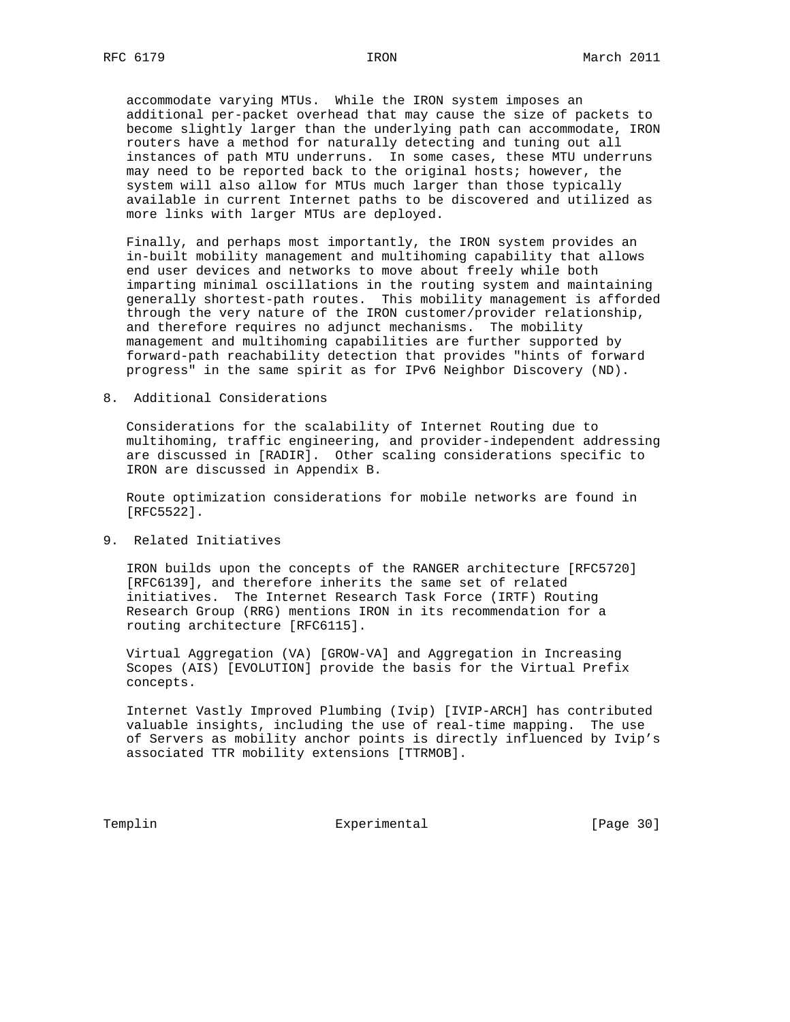accommodate varying MTUs. While the IRON system imposes an additional per-packet overhead that may cause the size of packets to become slightly larger than the underlying path can accommodate, IRON routers have a method for naturally detecting and tuning out all instances of path MTU underruns. In some cases, these MTU underruns may need to be reported back to the original hosts; however, the system will also allow for MTUs much larger than those typically available in current Internet paths to be discovered and utilized as more links with larger MTUs are deployed.

 Finally, and perhaps most importantly, the IRON system provides an in-built mobility management and multihoming capability that allows end user devices and networks to move about freely while both imparting minimal oscillations in the routing system and maintaining generally shortest-path routes. This mobility management is afforded through the very nature of the IRON customer/provider relationship, and therefore requires no adjunct mechanisms. The mobility management and multihoming capabilities are further supported by forward-path reachability detection that provides "hints of forward progress" in the same spirit as for IPv6 Neighbor Discovery (ND).

8. Additional Considerations

 Considerations for the scalability of Internet Routing due to multihoming, traffic engineering, and provider-independent addressing are discussed in [RADIR]. Other scaling considerations specific to IRON are discussed in Appendix B.

 Route optimization considerations for mobile networks are found in [RFC5522].

9. Related Initiatives

 IRON builds upon the concepts of the RANGER architecture [RFC5720] [RFC6139], and therefore inherits the same set of related initiatives. The Internet Research Task Force (IRTF) Routing Research Group (RRG) mentions IRON in its recommendation for a routing architecture [RFC6115].

 Virtual Aggregation (VA) [GROW-VA] and Aggregation in Increasing Scopes (AIS) [EVOLUTION] provide the basis for the Virtual Prefix concepts.

 Internet Vastly Improved Plumbing (Ivip) [IVIP-ARCH] has contributed valuable insights, including the use of real-time mapping. The use of Servers as mobility anchor points is directly influenced by Ivip's associated TTR mobility extensions [TTRMOB].

Templin Experimental [Page 30]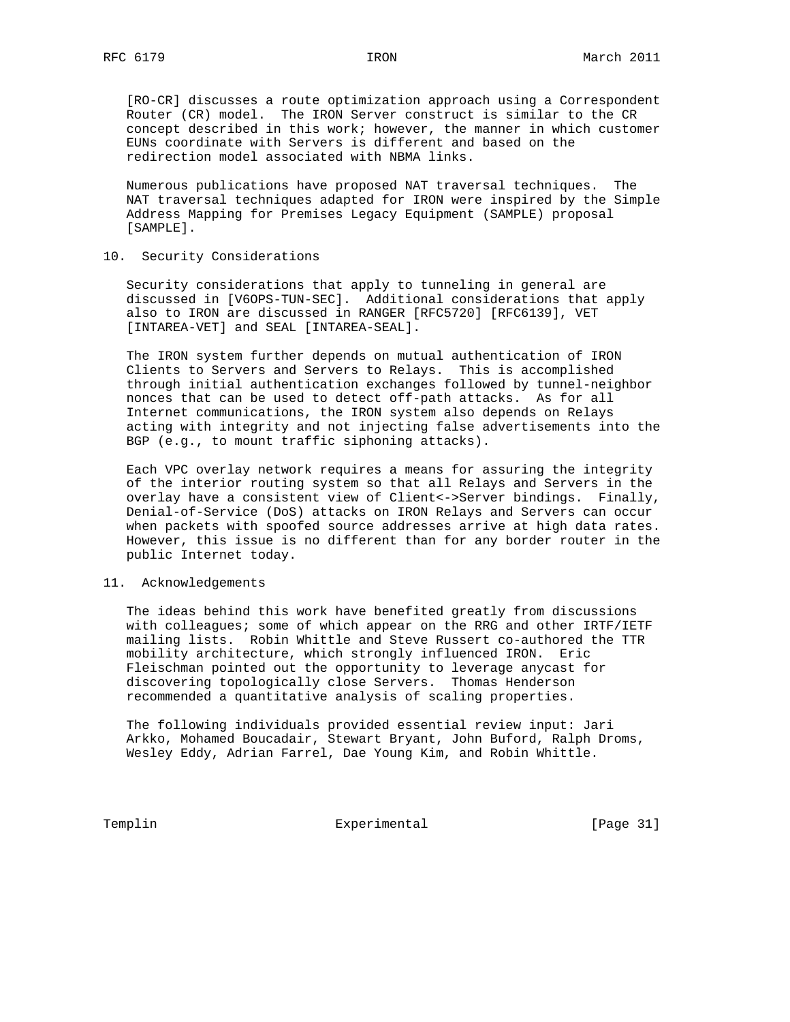[RO-CR] discusses a route optimization approach using a Correspondent Router (CR) model. The IRON Server construct is similar to the CR concept described in this work; however, the manner in which customer EUNs coordinate with Servers is different and based on the redirection model associated with NBMA links.

 Numerous publications have proposed NAT traversal techniques. The NAT traversal techniques adapted for IRON were inspired by the Simple Address Mapping for Premises Legacy Equipment (SAMPLE) proposal [SAMPLE].

## 10. Security Considerations

 Security considerations that apply to tunneling in general are discussed in [V6OPS-TUN-SEC]. Additional considerations that apply also to IRON are discussed in RANGER [RFC5720] [RFC6139], VET [INTAREA-VET] and SEAL [INTAREA-SEAL].

 The IRON system further depends on mutual authentication of IRON Clients to Servers and Servers to Relays. This is accomplished through initial authentication exchanges followed by tunnel-neighbor nonces that can be used to detect off-path attacks. As for all Internet communications, the IRON system also depends on Relays acting with integrity and not injecting false advertisements into the BGP (e.g., to mount traffic siphoning attacks).

 Each VPC overlay network requires a means for assuring the integrity of the interior routing system so that all Relays and Servers in the overlay have a consistent view of Client<->Server bindings. Finally, Denial-of-Service (DoS) attacks on IRON Relays and Servers can occur when packets with spoofed source addresses arrive at high data rates. However, this issue is no different than for any border router in the public Internet today.

## 11. Acknowledgements

 The ideas behind this work have benefited greatly from discussions with colleagues; some of which appear on the RRG and other IRTF/IETF mailing lists. Robin Whittle and Steve Russert co-authored the TTR mobility architecture, which strongly influenced IRON. Eric Fleischman pointed out the opportunity to leverage anycast for discovering topologically close Servers. Thomas Henderson recommended a quantitative analysis of scaling properties.

 The following individuals provided essential review input: Jari Arkko, Mohamed Boucadair, Stewart Bryant, John Buford, Ralph Droms, Wesley Eddy, Adrian Farrel, Dae Young Kim, and Robin Whittle.

Templin Experimental [Page 31]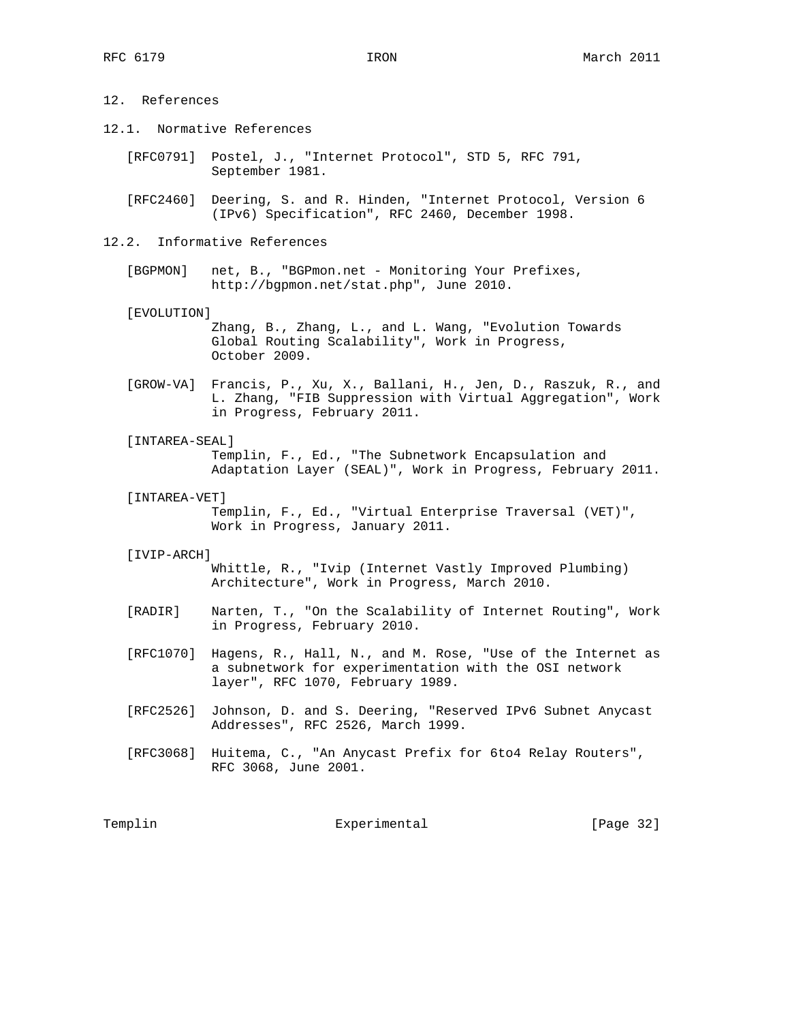# 12. References

- 12.1. Normative References
	- [RFC0791] Postel, J., "Internet Protocol", STD 5, RFC 791, September 1981.
	- [RFC2460] Deering, S. and R. Hinden, "Internet Protocol, Version 6 (IPv6) Specification", RFC 2460, December 1998.
- 12.2. Informative References
	- [BGPMON] net, B., "BGPmon.net Monitoring Your Prefixes, http://bgpmon.net/stat.php", June 2010.

[EVOLUTION]

 Zhang, B., Zhang, L., and L. Wang, "Evolution Towards Global Routing Scalability", Work in Progress, October 2009.

- [GROW-VA] Francis, P., Xu, X., Ballani, H., Jen, D., Raszuk, R., and L. Zhang, "FIB Suppression with Virtual Aggregation", Work in Progress, February 2011.
- [INTAREA-SEAL] Templin, F., Ed., "The Subnetwork Encapsulation and
	- Adaptation Layer (SEAL)", Work in Progress, February 2011.
- [INTAREA-VET]

 Templin, F., Ed., "Virtual Enterprise Traversal (VET)", Work in Progress, January 2011.

[IVIP-ARCH]

 Whittle, R., "Ivip (Internet Vastly Improved Plumbing) Architecture", Work in Progress, March 2010.

- [RADIR] Narten, T., "On the Scalability of Internet Routing", Work in Progress, February 2010.
- [RFC1070] Hagens, R., Hall, N., and M. Rose, "Use of the Internet as a subnetwork for experimentation with the OSI network layer", RFC 1070, February 1989.
- [RFC2526] Johnson, D. and S. Deering, "Reserved IPv6 Subnet Anycast Addresses", RFC 2526, March 1999.
- [RFC3068] Huitema, C., "An Anycast Prefix for 6to4 Relay Routers", RFC 3068, June 2001.

Templin Experimental [Page 32]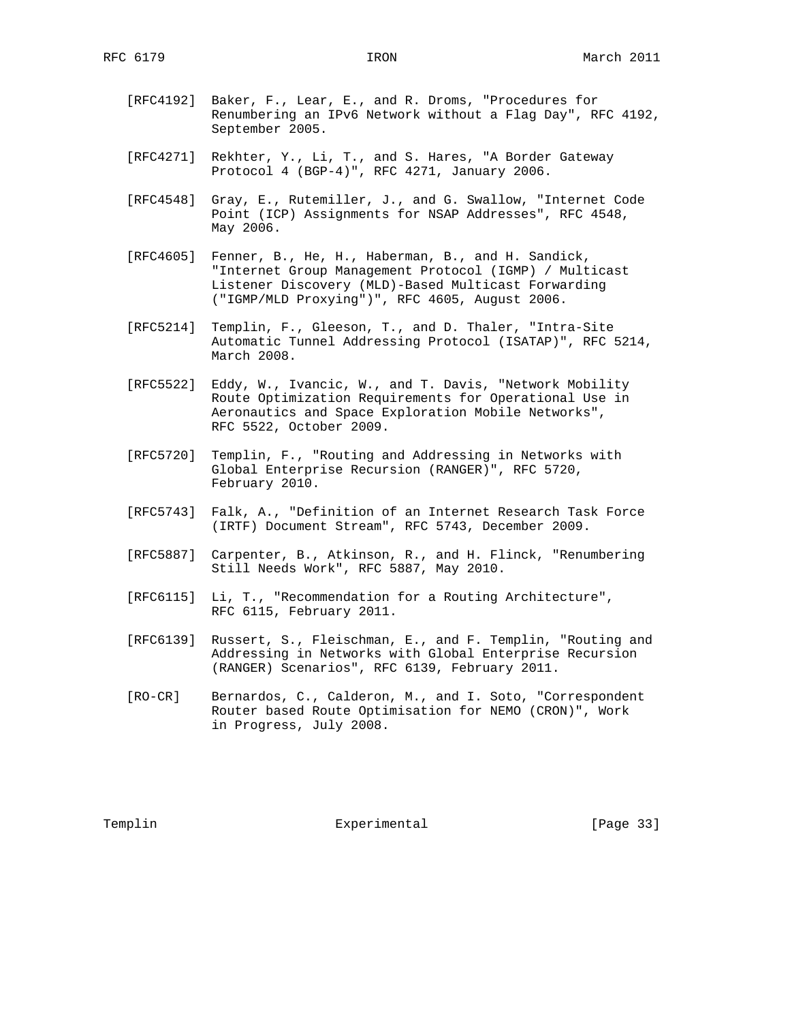- [RFC4192] Baker, F., Lear, E., and R. Droms, "Procedures for Renumbering an IPv6 Network without a Flag Day", RFC 4192, September 2005.
- [RFC4271] Rekhter, Y., Li, T., and S. Hares, "A Border Gateway Protocol 4 (BGP-4)", RFC 4271, January 2006.
- [RFC4548] Gray, E., Rutemiller, J., and G. Swallow, "Internet Code Point (ICP) Assignments for NSAP Addresses", RFC 4548, May 2006.
- [RFC4605] Fenner, B., He, H., Haberman, B., and H. Sandick, "Internet Group Management Protocol (IGMP) / Multicast Listener Discovery (MLD)-Based Multicast Forwarding ("IGMP/MLD Proxying")", RFC 4605, August 2006.
- [RFC5214] Templin, F., Gleeson, T., and D. Thaler, "Intra-Site Automatic Tunnel Addressing Protocol (ISATAP)", RFC 5214, March 2008.
- [RFC5522] Eddy, W., Ivancic, W., and T. Davis, "Network Mobility Route Optimization Requirements for Operational Use in Aeronautics and Space Exploration Mobile Networks", RFC 5522, October 2009.
- [RFC5720] Templin, F., "Routing and Addressing in Networks with Global Enterprise Recursion (RANGER)", RFC 5720, February 2010.
- [RFC5743] Falk, A., "Definition of an Internet Research Task Force (IRTF) Document Stream", RFC 5743, December 2009.
- [RFC5887] Carpenter, B., Atkinson, R., and H. Flinck, "Renumbering Still Needs Work", RFC 5887, May 2010.
- [RFC6115] Li, T., "Recommendation for a Routing Architecture", RFC 6115, February 2011.
- [RFC6139] Russert, S., Fleischman, E., and F. Templin, "Routing and Addressing in Networks with Global Enterprise Recursion (RANGER) Scenarios", RFC 6139, February 2011.
- [RO-CR] Bernardos, C., Calderon, M., and I. Soto, "Correspondent Router based Route Optimisation for NEMO (CRON)", Work in Progress, July 2008.

Templin Experimental [Page 33]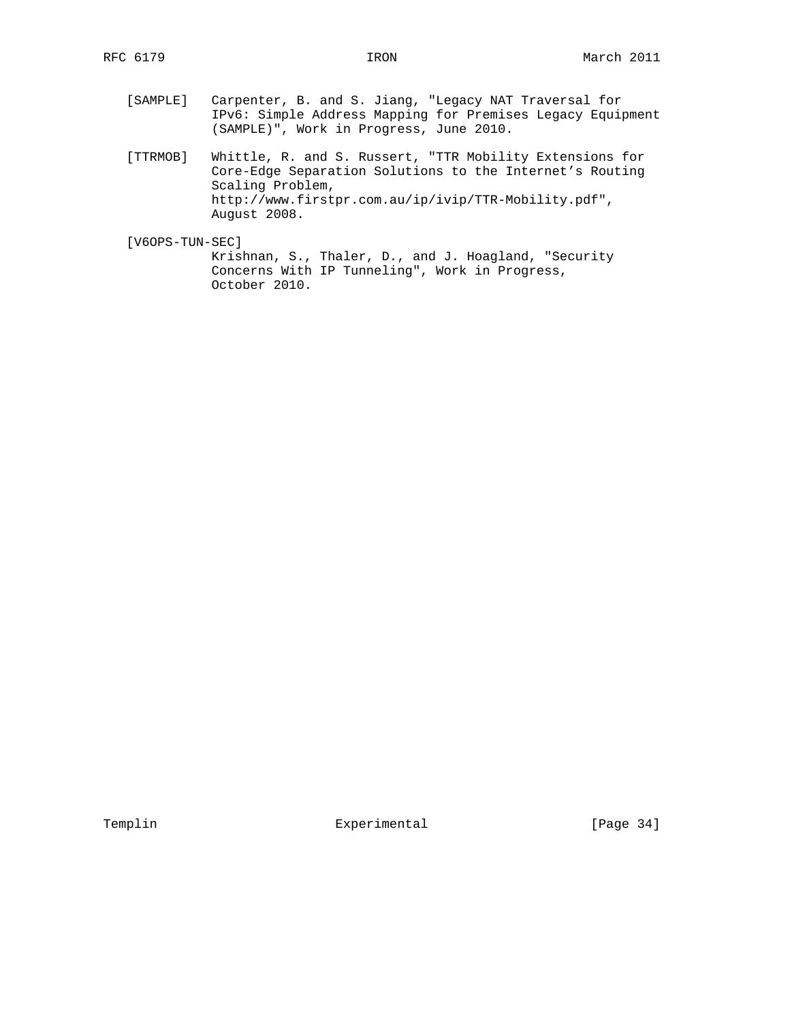| [SAMPLE] Carpenter, B. and S. Jiang, "Legacy NAT Traversal for |
|----------------------------------------------------------------|
| IPv6: Simple Address Mapping for Premises Legacy Equipment     |
| (SAMPLE)", Work in Progress, June 2010.                        |

 [TTRMOB] Whittle, R. and S. Russert, "TTR Mobility Extensions for Core-Edge Separation Solutions to the Internet's Routing Scaling Problem, http://www.firstpr.com.au/ip/ivip/TTR-Mobility.pdf", August 2008.

[V6OPS-TUN-SEC]

 Krishnan, S., Thaler, D., and J. Hoagland, "Security Concerns With IP Tunneling", Work in Progress, October 2010.

Templin Experimental [Page 34]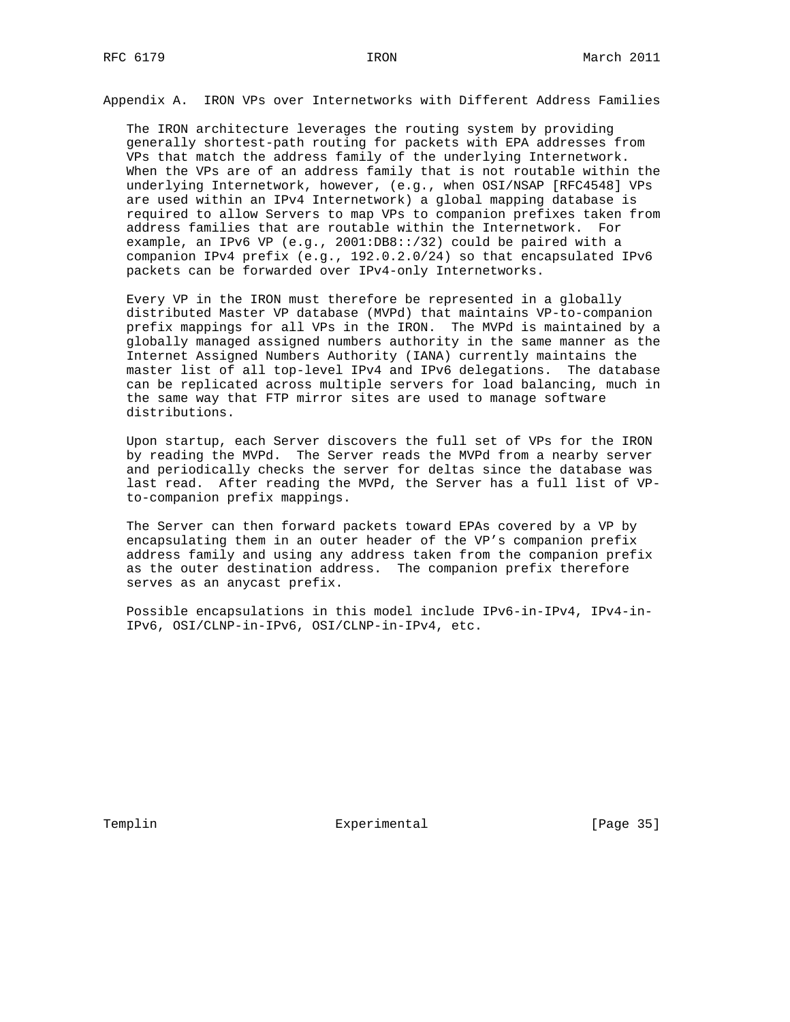Appendix A. IRON VPs over Internetworks with Different Address Families

 The IRON architecture leverages the routing system by providing generally shortest-path routing for packets with EPA addresses from VPs that match the address family of the underlying Internetwork. When the VPs are of an address family that is not routable within the underlying Internetwork, however, (e.g., when OSI/NSAP [RFC4548] VPs are used within an IPv4 Internetwork) a global mapping database is required to allow Servers to map VPs to companion prefixes taken from address families that are routable within the Internetwork. For example, an IPv6 VP (e.g., 2001:DB8::/32) could be paired with a companion IPv4 prefix (e.g., 192.0.2.0/24) so that encapsulated IPv6 packets can be forwarded over IPv4-only Internetworks.

 Every VP in the IRON must therefore be represented in a globally distributed Master VP database (MVPd) that maintains VP-to-companion prefix mappings for all VPs in the IRON. The MVPd is maintained by a globally managed assigned numbers authority in the same manner as the Internet Assigned Numbers Authority (IANA) currently maintains the master list of all top-level IPv4 and IPv6 delegations. The database can be replicated across multiple servers for load balancing, much in the same way that FTP mirror sites are used to manage software distributions.

 Upon startup, each Server discovers the full set of VPs for the IRON by reading the MVPd. The Server reads the MVPd from a nearby server and periodically checks the server for deltas since the database was last read. After reading the MVPd, the Server has a full list of VP to-companion prefix mappings.

 The Server can then forward packets toward EPAs covered by a VP by encapsulating them in an outer header of the VP's companion prefix address family and using any address taken from the companion prefix as the outer destination address. The companion prefix therefore serves as an anycast prefix.

 Possible encapsulations in this model include IPv6-in-IPv4, IPv4-in- IPv6, OSI/CLNP-in-IPv6, OSI/CLNP-in-IPv4, etc.

Templin **Experimental** Experimental [Page 35]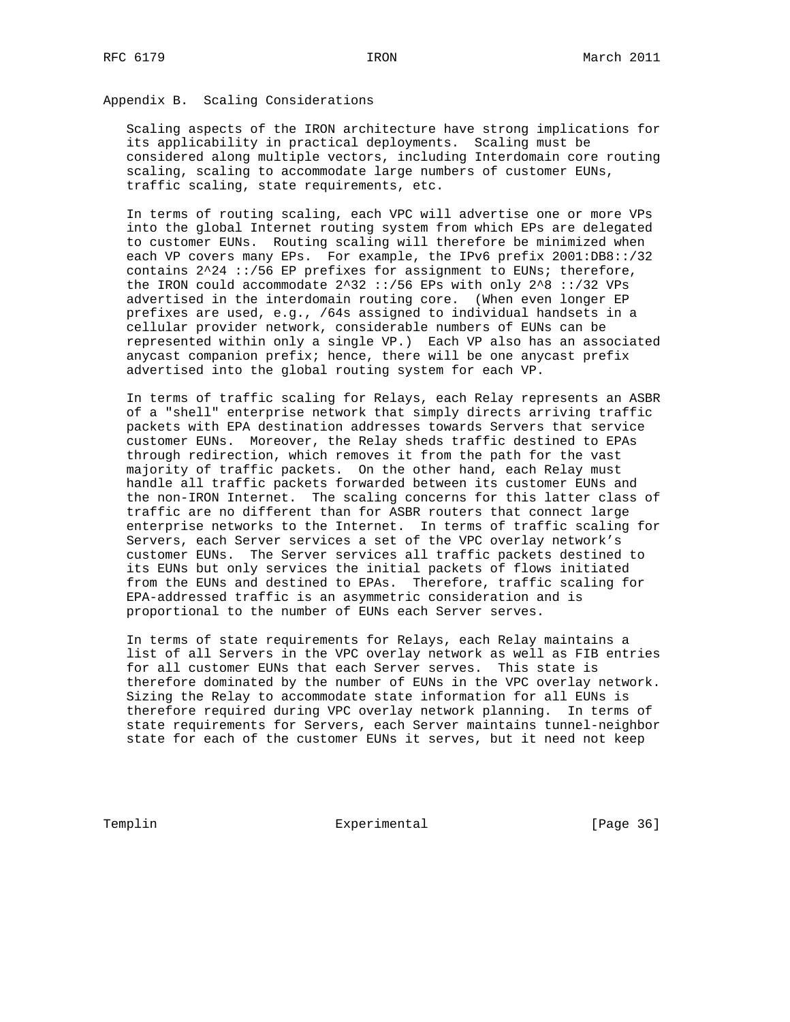# Appendix B. Scaling Considerations

 Scaling aspects of the IRON architecture have strong implications for its applicability in practical deployments. Scaling must be considered along multiple vectors, including Interdomain core routing scaling, scaling to accommodate large numbers of customer EUNs, traffic scaling, state requirements, etc.

 In terms of routing scaling, each VPC will advertise one or more VPs into the global Internet routing system from which EPs are delegated to customer EUNs. Routing scaling will therefore be minimized when each VP covers many EPs. For example, the IPv6 prefix 2001:DB8::/32 contains  $2^224$  ::/56 EP prefixes for assignment to EUNs; therefore, the IRON could accommodate  $2^332$  ::/56 EPs with only  $2^8$  ::/32 VPs advertised in the interdomain routing core. (When even longer EP prefixes are used, e.g., /64s assigned to individual handsets in a cellular provider network, considerable numbers of EUNs can be represented within only a single VP.) Each VP also has an associated anycast companion prefix; hence, there will be one anycast prefix advertised into the global routing system for each VP.

 In terms of traffic scaling for Relays, each Relay represents an ASBR of a "shell" enterprise network that simply directs arriving traffic packets with EPA destination addresses towards Servers that service customer EUNs. Moreover, the Relay sheds traffic destined to EPAs through redirection, which removes it from the path for the vast majority of traffic packets. On the other hand, each Relay must handle all traffic packets forwarded between its customer EUNs and the non-IRON Internet. The scaling concerns for this latter class of traffic are no different than for ASBR routers that connect large enterprise networks to the Internet. In terms of traffic scaling for Servers, each Server services a set of the VPC overlay network's customer EUNs. The Server services all traffic packets destined to its EUNs but only services the initial packets of flows initiated from the EUNs and destined to EPAs. Therefore, traffic scaling for EPA-addressed traffic is an asymmetric consideration and is proportional to the number of EUNs each Server serves.

 In terms of state requirements for Relays, each Relay maintains a list of all Servers in the VPC overlay network as well as FIB entries for all customer EUNs that each Server serves. This state is therefore dominated by the number of EUNs in the VPC overlay network. Sizing the Relay to accommodate state information for all EUNs is therefore required during VPC overlay network planning. In terms of state requirements for Servers, each Server maintains tunnel-neighbor state for each of the customer EUNs it serves, but it need not keep

Templin Experimental Experimental [Page 36]